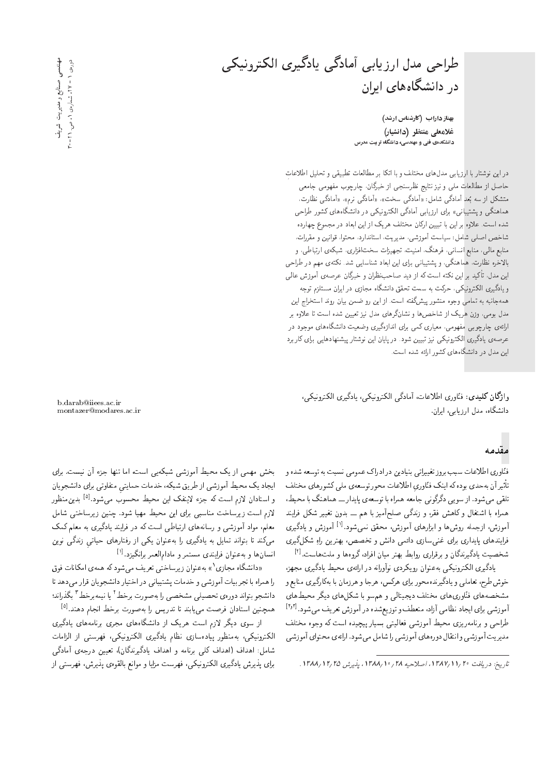طراحی مدل ارزیابی أمادگی یادگیری الکترونیکی در دانشگاههای ایران

بهناز داراب (کارشناس ارشد) غلامعلى منتظر (دانشيار) دانشکدهی فنی و مهندسی، دانشگاه تربیت مدرس

دراین نوشتار با ارزیابی مدل های مختلف و با اتکا بر مطالعات تطبیقی و تحلیل اطلاعات حاصل از مطالعات ملی و نیز نتایج نظرسنجی از خبرگان، چارچوب مفهومی جامعی متشکل از سه بُعد آمادگی شامل: «آمادگی سخت»، «آمادگی نرم»، «آمادگی نظارت، هماهنگی و پشتیبانی» برای ارزیابی آمادگی الکترونیکی در دانشگاههای کشور طراحی شده است. علاوه بر این با تبیین ارکان مختلف هریک از این ابعاد در مجموع چهارده شاخص اصلی شامل: سیاست آموزشی، مدیریت، استاندارد، محتول قوانین و مقررات، منابع مالی، منابع انسانی، فرهنگ، امنیت، تجهیزات سخت!فزاری، شبکهی ارتباطی، و بالاخره نظارت. هماهنگی، و پشتیبانی برای این ابعاد شناسایی شد. نکتهی مهم در طراحی این مدل، تأکید بر این نکته است که از دید صاحب نظران و خبرگان عرصهی آموزش عالمی و یادگیری الکترونیکمی، حرکت به سمت تحقق دانشگاه مجازی در ایران مستلزم توجه همهجانبه به تمامی وجوه منشور پیشگفته است. از این رو ضمن بیان روند استخراج این مدل بومی، وزن هریک از شاخصها و نشانگرهای مدل نیز تعیین شده است تا علاوه بر ارائهی چارچوبی مفهومی، معیاری کمی برای اندازهگیری وضعیت دانشگاههای موجود در عرصهی یادگیری الکترونیکی نیز تبیین شود. در پایان این نوشتار پیشنهادهایی برای کاربرد این مدل در دانشگاههای کشور ارائه شده است.

واژگان كليدى: فنّاورى اطلاعات، آمادگى الكترونيكى، يادگيرى الكترونيكى، دانشگاه، مدل ارز بایی، ایران.

### مقدمه

فنّاوري اطلاعات سبب بروز تغييراتي بنيادين درادراك عمومي نسبت به توسعه شده و تأثير آن بهحدي بوده كه اينك فنّاوري اطلاعات محور توسعهي مليي كشورهاي مختلف تلقی می شود. از سویبی دگرگونبی جامعه همراه با توسعهی پایدار ـــ هماهنگ با محیط، همراه با اشتغال وکاهش فقر، و زندگی صلحآمیز با هم ـــ بدون تغییر شکل فرایند آموزش، ازجمله روشها و ابزارهای آموزش، محقق نمیشود.<sup>[۱]</sup> آموزش و یادگیری فرایندهای پایداری برای غنبیسازی دائمی دانش و تخصص، بهترین راهِ شکلگیری شخصیت یادگیرندگان و برقراری روابط بهتر میان افراد، گروهها و ملتهاست.<sup>[۲]</sup>

یادگیری الکترونیکی به عنوان رویکردی نوآورانه در ارائهی محیط یادگیری مجهز، خوش طرح، تعاملی و یادگیرندهمحور برای هرکس، هرجا و هرزمان با بهکارگیری منابع و مشخصههای فنّاوریهای مختلف دیجیتالی و هم سو با شکلهای دیگر محیطهای آموزشی برای ایجاد نظامی آزاد، منعطف و توزیعشده در آموزش تعریف میشود.<sup>[۳٫۲</sup>] طراحی و برنامهریزی محیط أموزشی فعالیتی بسیار پیچیده است که وجوه مختلف مديريت أموزشي وانتقال دورههاي أموزشي را شامل مى شود. ارائهي محتواي أموزشي

بخش مهمی از یک محیط آموزشی شبکهیی است، اما تنها جزء آن نیست. برای ایجاد یک محیط آموزشی از طریق شبکه، خدمات حمایتی متفاوتی برای دانشجویان و استادان لازم است که جزء لاینفک این محیط محسوب می شود.<sup>[۵]</sup> بدین منظور لازم است زیرساخت مناسبی برای این محیط مهیا شود. چنین زیرساختی شامل معلم، مواد آموزشی و رسانههای ارتباطی است که در فرایند یادگیری به معلم کمک میکند تا بتواند تمایل به یادگیری را به عنوان یکی از رفتارهای حیاتی زندگی نوین انسان ها و به عنوان فرایندی مستمر و مادامالعمر برانگیزد.<sup>[۱]</sup>

«دانشگاه مجازی ` » به عنوان زیرساختی تعریف میشود که همهی امکانات فوق را همراه با تجربيات آموزشي و خدمات يشتيباني در اختيار دانشجويان قرار مىدهد تا دانشجو بتواند دورهي تحصيلي مشخصي را بهصورت برخط ٢ يا نيمهبرخط ٣ بگذراند؛ همچنین استادان فرصت می،پابند تا تدریس را بهصورت برخط انجام دهند.<sup>[۵]</sup>

از سوی دیگر لازم است هریک از دانشگاههای مجری برنامههای یادگیری الكترونيكي، بهمنظور پيادهسازى نظام يادگيرى الكترونيكي، فهرستي از الزامات شامل: اهداف (اهداف کلبی برنامه و اهداف یادگیرندگان)، تعیین درجهی آمادگی برای پذیرش یادگیری الکترونیکی، فهرست مزایا و موانع بالقوهی پذیرش، فهرستبی از

مهندسی صنایع و مدیریت شریف دوروی ۱ - ۲۲، شماروی ۱، ص. ۲۱-۰

b.darab@iiees.ac.ir mont azer@modares.ac.ir

تاريخ: دريافت ١٣٨٧/١١/٢٩، اصلاحيه ٢٨/١٠/٢٨/ ١٣٨٨، يذيرش ١٢/٢/ ١٣٨٨.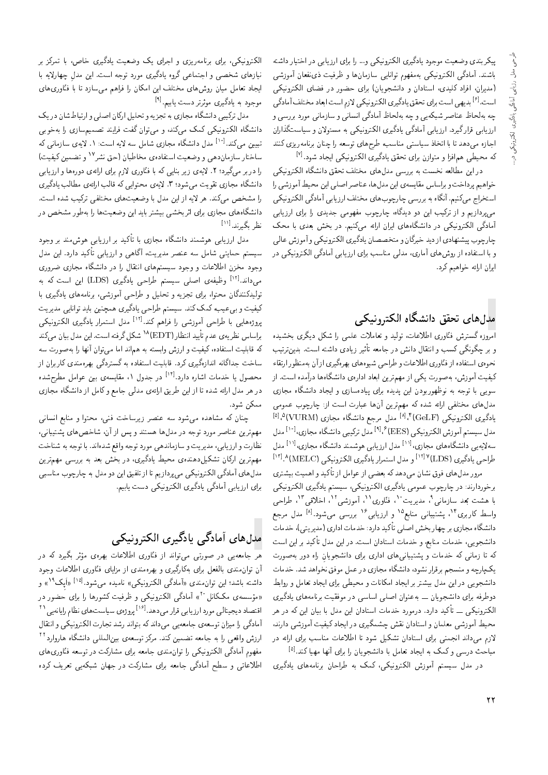پیکربندی وضعیت موجود یادگیری الکترونیکی و… را برای ارزیابی در اختیار داشته<br>باشند. آمادگی الکترونیکی بهمفهوم توانایی سازمان۵ و ظرفیت ذیiفعان آموزشی (مدیران، افراد کلیدی، استادان و دانشجویان) برای حضور در فضای الکترونیکی |مدیران، افراد دلیدی، استادان و دانسجویان\ برای حصور در قصای المدرونید<sub>ی</sub><br>است.<sup>9]</sup> بدیه ِ است برای تحقق بادگیری الکترونیکی لازم است ابعاد مختلف آمادگی |oO=t;hrDNtO=a@=CU=sRq |m}vwQDmr= |Q}oO=}jkLD |=Q@CU= |y}O@ "CU= چه به لحاظ عبا صر سبکه یی و چه به لحاظ امادد<sub>ی</sub> اساسی و سازمانی مورد بررسی و<br>استقبال تک استخبار استقبال کامی این محمد این محل ارزیابی قرار نیرد. ارزیابی آمادنی یادنیری الکترونیکی به مسئولان و سیاستنداران<br>اسلسطینی استانستان سایت است. اجازه میدهد تا با اتخاذ سیاستی مناسب، طرح های توسعه را چنان برنامه ریزی کنند كه محيطى همافزا و متوازن براى تحقق يادگيرى الكترونيكى ايجاد شود.<sup>[۷]</sup>

در این مطالعه نخست به بررسی مدلهای مختلف تحقق دانشگاه الکترونیکی |m}vwQDmr= x=oWv=OjkLD hrDNt |=ypOt |UQQ@ x@ CUNv xar=]tu}= QO حواهيم پرداخت و براساس مقايسه ي اين مدل ها، عبا صر اصلي اين محيط اموزسي را<br>اسميدا سيم سي آبري |ستخراج مي كنيم. آنگاه به بررسي چارچوب هاي مختلف ارزيابي آمادگي الكترونيكي می،پردازیم و از ترکیب این دو دیدگاه، چارچوب مفهومی جدیدی را برای ارزیابی آمادگی الکترونیکی در دانشگاههای ایران ارائه میکنیم. در بخش بعدی با محک<br>چارچوب بیشنهادی از دید خبرگان و متخصصان یادگیری الکترونیکی و آموزش عالمی چارچوب پیستهادی از دید حبرتان و متحصصان یادلیری الکترونیکی و اموزش عالی<br>جال میلمان است و سال آباد میلمان است. و با استفاده از روس@ای آماری، مدلی مناسب برای ارزیابی امادنی الحترونیدی در<br>ایا سایل میدانی ایران ارائه خواهیم کرد.

# مدل های تحقق دانشگاه الکترونیکی

<mark>آمروزه گسترش فنّاوری اطلاعات، تولید و تعاملات علمی را شکل دیگری بخشیده</mark> و بر چکونکی کسب و انتقال دانش در جامعه تاثیر زیادی داشته است. بدین ترتیب<br>. نحوهي استفاده از فنّاوري اطلاعات و طراحيي شيوههاي بهرهگيري از آن بهمنظور ارتقاء کیفیت آموزش، بهصورت یکی از مهمترین ابعاد ادارهی دانشگاهها درآمده است. از سویی با توجه به نوظهوربودن این پدیده برای پیادهسازی و ایجاد دانشگاه مجازی<br>مدل۵های مختلفی ارائه شده که مهمترین آن۵ا عبارت است از: چارچوب عمومی مدل های محتفی ارائه سده ده مهم رین آن ها عبارت است از: چارچوب عمومی<br>یادگیری الکترونیکی <sup>[A], A</sup>(VURM) مدل مرجع دانشگاه مجازی [VURM)<br>منابعت بقی الکترونیکی [ENES] از اینکستان اینکستان اینکستان این مدل سیستم آموزش الکترونیکی (<sup>۹۱</sup>٫۴ EES) مدل ترکیبی دانشگاه مجازی،<sup>[۱۰]</sup> مدل<br>۱۰ - اینگلسان گاه استفاده استفاده با استفاده بودن اینگلسان استفاده با سه یه یی دانسده های مجازی،<br>طراحی یادگیری (LDS) <sup>(۱۲]</sup> و مدل استمرار یادگیری الکترونیکی (MELC) <sup>۱۳] ۱۳].<br>مدل است مدل است تنها</sup> <sup>[۱۱]</sup> مدل ارز بابی هوشمند دانشگاه مجازی، <sup>[۱۱]</sup> "

مرور مدل های فوق نشان میدهد که بعضی از عوامل از تاکید و اهمیت بیشتری<br>سایت سالمان برخوردارند: در چارچوب عمومی یادنیری المبروتیمی، سیستم یادنیری المبروتیمی<br>اسمبر میکرمان اسلامی و در ۱۳۰۰ اسلامی آن اسلامی از استفاده اسلامی ، مدیریت ْ''، فنّاوری'''، اموزشی'''، اخلاقی ''، طراحی<br>از سیاس ۱۵ سال ۱۶۰۰ با هشت بُعد سازمانی'<br>با جا کا میگ<sup>ال</sup> مشت واسط کاربری<sup>۱۴</sup>، پشتیبانی منابع<sup>۱۵</sup> و ارزیابی<sup>۱۶</sup> بررسی میشود.<sup>[۸]</sup> مدل مرجع<br>ایندگار سا تید دارد: حدمات اداری (مدیریتی)، حدمات<br>ماما سا دانشگاه مجازي بر چهار بخش اصلي تأكيد دارد: خدمات اداري (مديريتي)، خدمات دانشجویی، خدمات منابع، و خدمات استادان است. در این مدل تا دید بر این است<br>کمیساسیان کمیسید است و در این استان استان است. که تا زمانی که خدمات و پشتیبانیهای اداری برای دانشجویانِ راه دور بهصورت<br>یکµرحه و منسجم برقرار نشود، دانشگاه مجازی در عمل موفق نخواهد شد. خدمات یک پارچه و مسجم برفرار سود، داستداه مجازی در عمل موفی نحواهد سد. حدمات<br>انمیسکو استان میلیم و سوال ایران استان ا دانسجویی در آین مدل بیستر بر ایجاد امدانات و محیطی برای ایجاد ندامل و روابط<br>سلستان سال این سا دوطرفه برای دانشجویان ـــ به عنوان اصلبی اساسبی در موفقیت برنامههای یادگیری الکترونیکی ــ تاکید دارد. درمورد خدمات استادان این مدل با بیان این که در هر<br>با آیت میساسلومان استنبار تقریبات ک محیط آموزشی معلمان و استادان نقش چشمگیری در ایجاد کیفیت آموزشی دارند، لازم میداند انجمنی برای استادان تشکیل شود تا اطلاعات مناسب برای ارائه در مباحث درسی و کمک به ایجاد تعامل با دانشجویان را برای آنها مهیا کند.<sup>[6]</sup><br>مارستان

در مدل سیستم آموزش الکترونیکی، کمک به طراحان برنامههای یادگیری

الکترونیکی، برای برنامهریزی و اجرای یک وضعیت یادگیری خاص، با تمرکز بر نیازهای شخصی و اجتماعی گروه یادگیری مورد توجه است. این مدل چهارلایه با |يجاد تعامل ميان روش هاى مختلف اين امكان را فراهم مى سازد تا با فنّاورى هاى موجود به یادگیری موثرتر دست یابیم.<sup>[۹]</sup><br>مافت کرد ک

مدل ترکیبی دانشگاه مجازی به تجزیه و تحلیل ارکان اصلی و ارتباط شان در یک دانشگاه الکترونیکی کمک میکند، و می توان گفت فرایند تصمیمسازی را بهخوبی سپین می سد. مسلم دانسده مجازی سامل سه قیه است: ۱۰ قیمی سازمانی که<br>| اما استاد استاد محمد استاد استاد استاد استاد محمد استاد محمد استاد استاد است. تبیین میکند.<sup>[۱۰]</sup> مدل دانشگاه مجازی شامل سه لایه است: ۱. لایهی سازمان<sub>ی</sub> که ساختار سازمان۵هی و وضعیت استفادهی مخاطبان (حق نشر'' و تضمین کیفیت)<br>ایران است که این مورد است که بایتک و ایران ایران را دربر مرکدید؛ ۲. لایهی زیر بنایی که با فنّاوری لازم برای ارائهی دورهها و ارزیابی دانشگاه مجازي تقويت مى شود؛ ٣. لايەي محتوايى كه قالب ارائهي مطالب يادگيري را مشخص مهركند. هر لايه از اين مدل با وضعيت هاى مختلفى تركيب شده است. دانشگاههای مجازی برای اثربخشی بیشتر باید این وضعیتها را بهطور مشخص در نظر بگیرند.<sup>[۱۱]</sup><br>ما

دید بر ارزیابی هوس مند بر وجود<br>ایسا مدل ارزیابی هوشمند دانشگاه مجازی با تأکید بر ارزیابی هوشمند بر وجود سیستم حمایتی شامل سه عنصر مدیریت، اداهی و ارزیابی تا دید دارد. این مدل<br>مسیستم حمایتی املاد وجود محزن اطلاعات و وجود سیستم های آسفال را در دانسداه مجازی صروری<br>استانا استان استان استان استان کوچک می۱داند.<sup>[۱۲]</sup> وظیفهی اصلی سیستم طراحی یادگیری (LDS) این است که به<br>ما نکننگان میدان است تولیدنسدتان محتوا، برای نجزیه و تحلیل و طراحی اموزسی، برنامههای یادلیری با<br>بر استفاده استفاده استفاده استفاده کیفیت و بی عیب، کمک کند. سیستم طراحی یادگیری همچنین باید توانایی مدیریت<br>اسما سال استمروزی این استمروز ایران استمروزی استمروزی استمروزی پروژههایی با طراحی اموزسی را فراهم نمد.<br>ایران میلی می استان است و این است که استان استان استان استان می است. يروژههايي با طراحي آموزشي را فراهم كند.<sup>[۱۲]</sup> مدل استمرار يادگيري الكترونيكي براساس نظریه ی عدم تایید انتظار (EDT)^` شکل گرفته است. این مدل بیان میکند<br>کمیشهای ساختهای کرد: كه قابليت استفاده، كيفيت و ارزش وابسته به هماند اما مبي توان آنها را بهصورت سه ساخت جداگانه اندازهگیری کرد. قابلیت استفاده به گستردگی بهرهمندی کاربران از محصول یا خدمات اشاره دارد.<sup>[۱۲]</sup> در جدول ۱، مقایسه، بین عوامل مطرح شده<br>مدارات میسکار است و است در هر مدل ارائه شده تا از این طریق ارائهی مدلی جامع و کامل از دانشگاه مجازی ممكن شود.

چنان که مشاهده می شود سه عنصر زیرساخت فنی، محتوا و منابع انسانی مهمترین عناصر مورد توجه در مدلها هستند و پس از آن، شاخصهای پشتیبانی،<br>نظارت و ارزیابی، مدیریت و سازماندهی مورد توجه واقع شدهاند. با توجه به شناخت CN=vW x@ xHwD =@ "Ov=xOW `k=w xHwD OQwt |yOv=tR=U w C} Q}Ot '|@=}RQ= w CQ=\_v مهم در بن آرکان سنگیرا کاهندهی محیط یا دلیری، کر بخش بعد به بررسی مهم در بن<br>مقامت استگاه استکاره میکند مدل های آمادگی الکترونیکی می پردازیم تا از تلفیق این دو مدل به چارچوب مناسبی براى ارزيابي أمادگي يادگيرى الكترونيكي دست يابيم.

# مدل های آمادگی پادگیری الکترونیکی

هر جامعهیی در صورتی می دواند از قناوری اطلاعات بهرهی موتر بخیرد ته در<br>آن ۱۰ - ۱۰ میلین است کام کلیم می برنامی استان بنتایم ایللامات ان نوان مندی بالفعل برای بهدارتیری و بهره مندی از مرایای فناوری اطلاعات وجود<br>-<br>- اهمیت اهمین است و است سلسل از گرمانان مند به سلسل سلسله افزای آن ۱۹ داسته باسد: این نوان میدی ((امادین المدرونیمی)) بامیده می سود.<br>- است که سال ۲۰۰۳ ق انتخابات میکند و میلی از سال ایران ایران ا<sup>۱۹</sup>] «أَبِک<sup>۱۹</sup><br>ا l<br>S ؤسسهء مککانل°۱» امادگی الکترونیکی و ظرفیت کشورها را برای حضور در<br>- ادیب تالیمی دایت ستایمی دور ا<sup>ور</sup>ا مشهور است دار نظار این ۲۱ «مو<br>س <sup>[۱۶]</sup> پروژهی سیاست های نظام رایانهیی<sup>۲۱</sup><br>پالمان مقامات اسلام به کمور انتظا اقتصاد دیجیتانی مورد ارزیابی قرار می دهد.<br>آمایگر امادنی را میزان نوسعهی جامعهیی می داند نه بنواند رسد نجارت الحسرونیخی و انتقال<br>استقال استقال ساخته عند حمد حمد حمد الله استقال استقال استقال ارزش واقعی را به جامعه تضمین کند. مرکز توسعهی بین|لمللی دانشگاه هاروارد<sup>۲۲</sup> مفهوم أمادگی الکترونیکی را توان مندی جامعه برای مشارکت در توسعه فتّاوری های اطلاعاتی و سطح آمادگی جامعه برای مشارکت در جهان شبکهیی تعریف کرده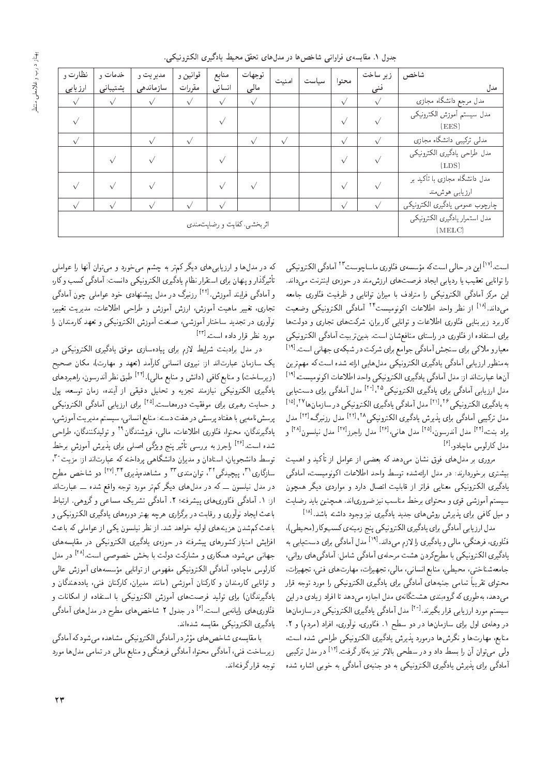| نظارت و   | خدمات و   | مديريت و  | قوانين و   | منابع     | توجهات                     | منيت       | محتوا     | زير ساخت  | شاخص                                            |  |
|-----------|-----------|-----------|------------|-----------|----------------------------|------------|-----------|-----------|-------------------------------------------------|--|
| ارزیابی   | پشتیبانی  | سازماندهى | مقررات     | انسانى    | مالى                       |            |           | فنى       | مدل                                             |  |
| $\sqrt{}$ | $\sqrt{}$ |           | $\sqrt{ }$ | $\sqrt{}$ | $\sqrt{}$                  |            | $\sqrt{}$ | $\sqrt{}$ | مدل مرجع دانشگاه مجازی                          |  |
| $\sqrt{}$ |           |           |            |           |                            |            | $\sqrt{}$ |           | مدل سيستم أموزش الكترونيكي<br>(EES)             |  |
| $\sqrt{}$ |           |           |            |           | $\sqrt{}$                  | $\sqrt{ }$ | $\sqrt{}$ |           | مدلی ترکیبی دانشگاه مجازی                       |  |
|           |           |           |            |           |                            |            | $\sqrt{}$ |           | مدل طراحي يادكيري الكترونيكي<br>(LDS)           |  |
|           |           |           |            |           |                            |            |           |           | مدل دانشگاه مجازی با تأکید بر<br>ارزيابي هوش.ند |  |
| $\sqrt{}$ |           |           |            |           |                            |            | $\sqrt{}$ | $\sqrt{}$ | چارچوب عمومي يادگيري الكترونيكي                 |  |
|           |           |           |            |           | اثربخشی، کفایت و رضایتمندی |            |           |           | مدل استمرار يادگيري الكترونيكي<br>(MELC)        |  |

جدول ١. مقايسهى فراواني شاخصها در مدلهاى تحقق محيط يادگيرى الكترونيكي.

<sup>[v۱]</sup> این در حالی است که مؤسسه ی فنّاوری ماساچوست<sup>۲۳</sup> آمادگی الکترونیکی<br>سیقیقی مطرح اسماع ادغام خود تنظیم استفرد در موضوع استفرد حالیل را توانایی تعقیب یا ردیابی ایجاد فرصتهای ارزش مند در حوزهی اینترنت می داند. این مرکز آمادگی الکترونیکی را مترادف با میزان توانایی و ظرفیت فنّاوری جامعه این مردز آمادتی الکترونیکی را مترادف با میزان نوابایی و طرفیت قناوری جامعه<br>این ادارات این این این ایران این متراکب تو آیا گیسک سیک این متر <sup>[۱۸]</sup> از نظر واحد اطلاعات اکونومیس<sup>ی ۲۴</sup> آمادگ<sub>ی</sub> الکترونیکی وضعیت<br>است تقسیم الملاد این مطلب کاساست کرده است کاربرد زیربنایی فنّاوری اطلاعات و توانایی کاربولن، شرکتهای تجاری و دولتها برای استفاده از فنّاوری در راستای منافعشان است. بدین تربیت آمادگی الکترونیکی برای استفاده از فناوری در راستای منافع سان است. بدین بربیت اماددی اندرونیخی<br>معیار و ملاکی برای سنجش آمادگی جوامع برای شرکت در شبکهی جهانی است.<sup>[۱۹]</sup><br>مناطب استام آما گیر اگر بهمنظور ارزيابي أمادگي يادگيري الكترونيكي مدل هايي ارائه شده است كه مهم ترين أنها عبارتاند از: مدل آمادگي يادگيري الكترونيكي واحد اطلاعات اكونوميست، الله ا ان ها عبارت اند از: مدل اما دنتی یا دنتیری الحنزویسحی واحد اطلاعات الوتومیست،<br>محمد المساحات التحمیط المساحی محمد التحال التحادی التحمیط المساحات التحمیط المساحات مدل ارزیابی آمادگی برای یادگیری الکترونیکی<sup>۲۰ | ۲۰</sup>۰ مدل آمادگی برای دست<u>بابی</u><br>ساحج سازی بر ۱۶ ا۱۱ یا برآیاچ ساحج ساحج سازی بر بر به یادگیری الکترونیکی<sup>۱۲۶</sup> مال آمادگی یادگیری الکترونیکی در سازمان ها<sup>۲۷</sup> ،<sup>[۱۵]</sup><br>مال مقصد آبادگیر است به ساخت الکترونیک از ایران ایران است که ایران است. مدل ترکیبی امادکی برای پدیرش یادگیری الکترونیکی^`````` مدل رزنبرک،'``` مدل<br>۱٫ محمد ۱۲۴۱ میل آن می سور افغانستان افغانستان استان افغانستان میل ،<sup>[۱۲]</sup> مدل رزنی<sub>د</sub>گ،<sup>[۱۲]</sup> براد بنت،<sup>[۲۲]</sup> مدل آندرسون،<sup>[۲۵]</sup> مدل هانی،<sup>[۲۶]</sup> مدل راجرز<sup>[۲۷]</sup> مدل نیلسون<sup>[۲۸]</sup> و<br>مدفع کارا مدل کارلوس ماچادو.<sup>[۶]</sup><br>سلم

مروری بر مدل های فوق نشان می4هد که بعضی از عوامل از تاکید و اهمیت<br>مساحد است میدان است و است و این افغان استفاده است بيشترى برخوردارند: در مدل ارائهشده توسط واحد اطلاعات اكونوميست، آمادگى یادگیری الکترونیکی معنایی فراتر از قابلیت اتصال دارد و مواردی دیگر همچون<br>سیستم آموزشی قوی و محتوای برخط مناسب نیز ضروری|ند. همچنین باید رضایت سیستم آموزسی قوی و محبوای برحمد مناسب نیز صروری ند. همچنین باید رضایت<br>و میل کافی برای پذیرش روش های جدید یادگیری نیز وجود داشته باشد.<sup>[۱۸]</sup><br>میل ایران آبی گرام است که با این میرکند و باید و میران میران ایران میل

مدل ارز یابی آمادنی برای یا دنیری آلکترونیکی پنج زمینه ی نسبوتار (محیطی))<br>ی، فرهنگی، مالی و بادگیری را لازم می رداند.<sup>[۱۹]</sup> مدل آمادگیر برای دست بایر به قناوری، فرهند<sub>ی</sub>، مالی و یادتیری را لا زم می داند.<br>-<br>- گلسانگوین کوسایل کوچی در موسط استگاه ها با سالگاه گلسای است. يأدنيرى المدرونيمى با مصرح دردن هست مرحلةى أمادد<sub>ى</sub> سامل: أمادنى هاى روابى،<br>و المصري المصري جامعهشناختی، محیطی، منابع انسانی، مالی، تجهیزات، مهارتهای فنی، تجهیزات، محتوای تقریباً تمامی جنبه های امادتی برای یادتیری الکترونیکی را مورد توجه قرار<br>استفاده است که گفت است. میدهه، بهطوری نه درومبندی هستنامهی مدل اجازه میدهد با افراد زیادی در این<br>سیستم مورد ارزیابی قرار بگیرند.<sup>[۲۰]</sup> مدل آمادگی یادگیری الکترونیکی در سازمانها<br>مسلمه ایرانی استفادهای استفاده مدل امادتی یادتیری الکسروییکی در سازمان ها<br>پسته استان میکند و کاربان استان مو در وههی اول برای سازمان ها در دو سطح ۰۱ قیاوری، بواوری، افراد (مردم) و ۰۱<br>ساحت است. این کلیستان میتکنید و این مصدر میتکنید و این مصدر است. منابع، مهارتها و نگرشها درمورد بذيرش يادگيري الكترونيكي طراحي شده است، ولی می توان آن را بسط داد و در سطحی بالاتر نیز بهکارگرفت.<sup>[۱۲]</sup> در مدل ترکیبی<br>آیا گریسا آمادگی برای پذیرش یادگیری الکترونیکی به دو جنبهی آمادگی به خوبی اشاره شده

له در مدل ها و ارزیابی های دیگر لم ر به چسم می حورد و می بوان آنها را عواملی<br>سلم گذاری می سویس سال سویس ایران انگر سال می کند و سال سویس آن انگر می تیرندار و پنهان برای استقرار تصام یادتیری الجنروییجی دانست: اما دینی تسبب و تارا<br>آیا گیستان آییمی ا ۱۲۱ میگری میدان میدانیمی استان میآییگی -=D [<sup>rt]</sup> رزنبرگ در مدل پیشنهادی خود عواملی چون آمادگی<br>مسلمات آموز آموز میلادی ایلاد ا و امادد<sub>ی</sub> فرایند اموزس.<br>- ا مجازی، معییر ماهیب اموزس، ارزس اموزس و طراحتی اطلاعات، مدیریت تعییر،<br>. آ نوآوری در تجدید ساختار آموزشی، صنعت آموزش الکترونیکی و تعهد کارمندان را مورد نظر قرار داده است.<sup>[۲۳]</sup><br>ما

در مدل برادبنت شرایط لازم برای پیادهسازی موفق یادگیری الکترونیکی در یک سازمان عبارتاند از: نیروی انسانی کارآمد (تعهد و مهارت)، مکان صحیح (زیرساخت) و منابع کافی (دانش و منابع مالی).'<sup>۲۲]</sup> طبق نظر آندرسون. راهبردهای<br>اگر سالمکر دیم مناطق سویر يادتيرى المدروبيمي بيازمند نجزيه و نحنيل دقيقي از اينده، زمان نوسعه، پول<br>الفاظ المسلمان المسلمة الفاضيات الفاضيات الفاضيات الفاضيات المسلم و حمایت رهبری برای موفقیت دورههاست.<sup>[۲۵]</sup> برای ارزیابی آمادگی الکترونیکی<br>مقدامات استفاد يرسش نامهيي با هفتاد يرسش در هفت دسته: منابع انساني، سيستم مديريت آموزشي، يادگيرندگان، محتوا، فنّاوري اطلاعات، مالي، فروشندگان<sup>۲۹</sup> و توليدكنندگان، طراحي <sup>[۲۶]</sup> راجرز به بررسی تأثیر پنج ویژگی اصلی برای پذیرش آموزش برخط<br>۲۰ - اسلمان استان گا سده است. `` راجرز به بررسی نامیر پنج ویژنی اصلبی برای پدیرس اموزس برحصه<br>توسط دانشجویان. استادان و مدیران دانشگاهی پرداخته که عبارت[ند از: مزیت<sup>۳۰</sup><br>با گالم ۲۱ میلی کار ایران بسیار ۲۲ <sup>۳۱</sup>، پیچیدگ<sub>ی</sub>۳۲ توان۰مندی۳۳ و مشاهدهپذیری<sup>۲۳</sup>ا (دو شاخص مطرح<br>ما " سازداری ، پیچیدد<sub>ی</sub> ، نوان مندی و مساهده پدیری<br>مساحات است در مدل بیسوں ــ نه در مدل۵ک دیدر نم ر مورد نوجه واقع سده ــ عبارتاند<br>اسکانگ کالم میں استخدام کا کہ ہم کر وہ کالمیا از: ۱. آمادگی فنّاوری های پیشرفته؛ ۲. آمادگی تشریک مساعی و گروهی. ارتباط باعث ایجاد نوآوری و رقابت در برگزاری هرچه بهتر دورههای یادگیری الکترونیکی و<br>باعث کم شدن هزینههای اولیه خواهد شد. از نظر نیلسون یکی از عواملی که باعث افزایش امتیاز کشورهای پیشرفته در جوزهی یادگیری الکترونیکی در مقایسههای اقزایس امبیاز تسورهای پیسرفته در حوزهی یادتیری انگسرونیکنی در مقایسههای<br>حهانه مهرشود، همکاری و مشارکت دولت با بخش خصوصه است.<sup>[۸]</sup> در مدل جهانی میسود، همداری و مسارتت دولت با بحس حصوصی است. `` در مدل<br>سراجات اساس آبا گیرانگ میکنند و سایت استفاده تارلوس ماچادو، آمادنی انگیروئیگی مفهومی از نوابایی موسسههای آموزش عالی<br>ستانلیم کاستانیم کاکتاب آسینشمار از سال کاکتاب فتیم بایده ناگان و نوافایی کارمندان و کارلنان اموزسی امانند مدیران، کارلنان فیی، یاددهندگان و<br>با گریگان ایسمبلینی سیاسی آیست و این مرکز سایستان ایسانیا یادگیرندگان) برای تولید فرصتهای آموزش الکترونیکی با استفاده از امکانات و <sup>[۶]</sup> در جدول ۲ شاخصهای مطرح در مدلهای آمادگی<br>میدان قتاوری های رایانهیی است.<br>اگر ۲۰۱۱ء : ح "Ov=xOW xU}=kt |m}vwQDmr= |Q}oO=}

با مقایسه ی ساحص های موتر در آمادد<sub>ی</sub> الجنروییچی مساهده می سود به آمادد<sub>ی</sub><br>اینچین می آیا گیست ایران اینچین بگیست ایران اینچین ایران ایران ر<br>ا OQwt =ypOt |t=tD QO |r=t `@=vt w |ovyQi |oO=t; '=wDLt |oO=t; '|vi CN=UQ}R توجه قرار گرفتهاند.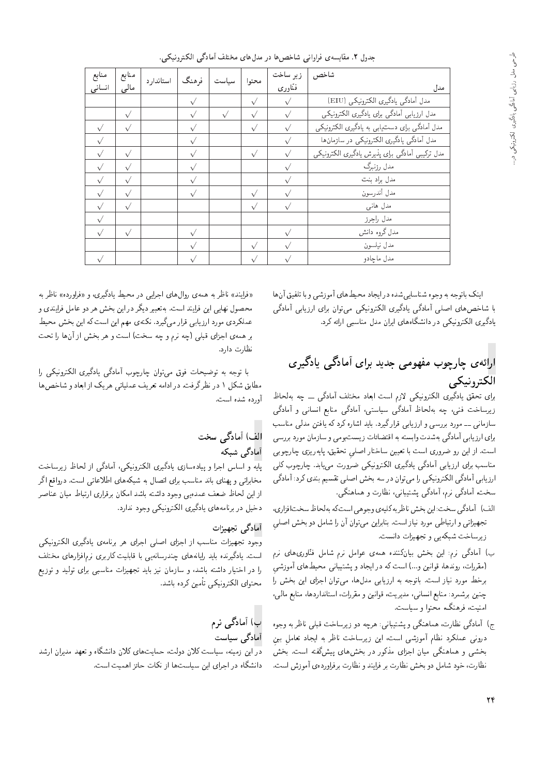| جدول ۲. مقایسهی فراوانی شاخصها در مدلهای مختلف أمادگی الکترونیکی. |  |  |  |
|-------------------------------------------------------------------|--|--|--|
|-------------------------------------------------------------------|--|--|--|

| منابع     | منابع     | ستاندارد | فرهنگ     | سداست      | محتوا     | زير ساخت  | شاخص                                            |
|-----------|-----------|----------|-----------|------------|-----------|-----------|-------------------------------------------------|
| انسانى    | مالى      |          |           |            |           | فنّاوري   | مدل                                             |
|           |           |          | $\sqrt{}$ |            | $\sqrt{}$ | $\sqrt{}$ | مدل آمادگی یادگیری الکترونیکی (EIU)             |
|           | $\sqrt{}$ |          | $\sqrt{}$ | $\sqrt{ }$ | $\sqrt{}$ | $\sqrt{}$ | مدل ارزيابي آمادگي براي يادگيري الكترونيكي      |
| $\sqrt{}$ | $\sqrt{}$ |          | $\sqrt{}$ |            | $\sqrt{}$ | $\sqrt{}$ | مدل آمادگی برای دست یابی به یادگیری الکترونیکی  |
| $\sqrt{}$ |           |          | $\sqrt{}$ |            |           | $\sqrt{}$ | مدل آمادگی یادگیری الکترونیکی در سازمان ها      |
| $\sqrt{}$ | $\sqrt{}$ |          | $\sqrt{}$ |            | $\sqrt{}$ | $\sqrt{}$ | مدل تركيبي أمادگي براي پذيرش يادگيري الكترونيكي |
| $\sqrt{}$ | $\sqrt{}$ |          |           |            |           |           | مدل رزنبرگ                                      |
| $\sqrt{}$ | $\sqrt{}$ |          |           |            |           |           | مدل براد بنت                                    |
| $\sqrt{}$ | $\sqrt{}$ |          | $\sqrt{}$ |            | $\sqrt{}$ | $\sqrt{}$ | مدل أندرسون                                     |
| $\sqrt{}$ | $\sqrt{}$ |          |           |            | $\sqrt{}$ |           | مدل هانبي                                       |
| $\sqrt{}$ |           |          |           |            |           |           | مدل راجرز                                       |
| $\sqrt{}$ | $\sqrt{}$ |          |           |            |           |           | مدل گروه دانش                                   |
|           |           |          |           |            | $\sqrt{}$ |           | مدل نيلسون                                      |
| $\sqrt{}$ |           |          |           |            | $\sqrt{}$ |           | مدل ماچادو                                      |

اینک باتوجه به وجوه شناسایی شده در ایجاد محیط های آموزشی و با تلفیق آنها با شاخصهای اصلی أمادگی یادگیری الکترونیکی می توان برای ارزیابی أمادگی يادگيرى الكترونيكى در دانشگاههاى ايران مدل مناسبى ارائه كرد.

# ارائهی چارچوب مفهومی جدید برای آمادگی یادگیری الكترونيكي

برای تحقق یادگیری الکترونیکی لازم است ابعاد مختلف آمادگی ۔۔ چه بهلحاظ زیرساخت فنی، چه بهلحاظ أمادگی سیاستی، أمادگی منابع انسانی و أمادگی سازمانی ـــ مورد بررسی و ارزیابی قرارگیرد. باید اشاره کرد که یافتن مدلی مناسب برای ارزیابی آمادگی بهشدت وابسته به اقتضائات زیستبومی و سازمان مورد بررسی است. از این رو ضروری است با تعیین ساختار اصلی تحقیق، پایهریزی چارچوبی مناسب برای ارزیابی أمادگی یادگیری الکترونیکی ضرورت مییابد. چارچوب کلی ارزیابی أمادگی الکترونیکی را می توان در سه بخش اصلی تقسیم بندی کرد: أمادگی سخت، آمادگی نرم، آمادگی پشتیبانی، نظارت و هماهنگی.

- الف) أمادكي سخت: اين بخش ناظر به كليهي وجوهي است كه به لحاظ سخت افزاري، تجهیزاتی و ارتباطی مورد نیاز است. بنابراین می توان آن را شامل دو بخش اصلی زيرساخت شبكهيى وتجهيزات دانست.
- ب) آمادگی نرم: این بخش بیانکننده همهی عوامل نرم شامل فنّاوری های نرم (مقررات، روندها، قوانین و…) است که در ایجاد و پشتیبانی محیط های آموزشی<br>برخط مورد نیاز است. باتوجه به ارزیابی مدل۱ها، می2توان اجزای این بخش را =Q VN@ u}= |=RH= u=wD|t '=ypOt |@=}RQ= x@ xHwD=@ "CU= R=}v OQwt \NQ@ چمین برسمرد: منابع انسانی، مدیریت، فوانین و مفررات، استانداردها، منابع مالی،<br>ا امنیت، فرهنگ، محتوا و سیاست.
- ج) آمادگی نظارت، هماهنگی و پشتیبانی: هرچه دو زیرساخت قبلی ناظر به وجوه درونی عملکرد نظام اموزشی است، این زیرساخت ناظر به ایجاد تعاملِ بینِ<br>منصوب استگرام اسلمب است از منصوب است که است که است. بخشی و هماهنگی میان اجزای مذکور در بخش های پیشگفته است. بخش نظارت، خود شامل دو بخش نظارت بر فرايند و نظارت برفراوردهى أموزش است.

«فرایند» ناظر به همهی روال۵ای اجرایی در محیط یادگیری، و «فراورده» ناظر به<br>محصول نهایی این فرایند است. بهتعبیر دیگر در این بخش هر دو عامل فرایندی و محصول بهایی این قرآیند است. به هبیر دیگر در این بحس هر دو عامل قرآیندی و<br>|}=<br>|} عمد دردی مورد آرزیابی قرار می شیرد. تکنهی مهم این است که این بحس محیط<br>استان استان الموت بر همهى اجزاى قبلى (چه نرم و چه سخت) است و هر بخش از آنها را تحت نظارت دارد.

=Q |m}vwQDmr= |Q}oO=} |oO=t; ?wJQ=J u=wD|t jwi C=L}[wD x@ xHwD =@ مطابق سکل ۱ در نظر ترقب. در ادامه نغریف عملیاتی هریک از ابعاد و ساخص ها<br>آ أورده شده است.

# الف) آمادگی سخت

<mark>آمادگی شبکه</mark><br>بایه و اساس اجرا و بیادهسازی بادگیری الکترونیکی، آمادگی از لحاظ زیرساخت مخابراتی و بهنای باند مناسب برای اتصال به شبکههای اطلاعاتی است. درواقع اگر محابرانی و پهنای باند مناسب برای انصال به سبکههای اطلاعاتی است. دروافع ادر<br>ایران ایرانی به تصویر کلیست است. است است ایرانی تولید ایرانی ایران از این نحاط صعف عمدهیی وجود داسته باسد امدان برقراری ارتباط میان عماضر<br>میلیست استفاده است که این میکرد که دخيل در برنامههاى يادگيرى الكترونيكى وجود ندارد.

#### آمادگے تجهہ;ات

وجود تجهیزات مناسب از اجزای اصلی اجرای هر برنامهی یادگیری الکترونیکم است. یادگیرنده باید رایانههای چندرسانهیی با قابلیت کاربری نرم|فزارهای مختلف را در اختیار داشته باشد، و سازمان نیز باید تجهیزات مناسبهی برای تولید و توزیع محتواي الكترونيكي تأمين كرده باشد.

### ب) آمادگی نرم آمادگی سیاست

در این زمینه، سیاست کلان دولت، حمایتهای کلان دانشگاه و تعهد مدیران ارشد دانشگاه در اجرای این سیاستها از نکات حائز اهمیت است.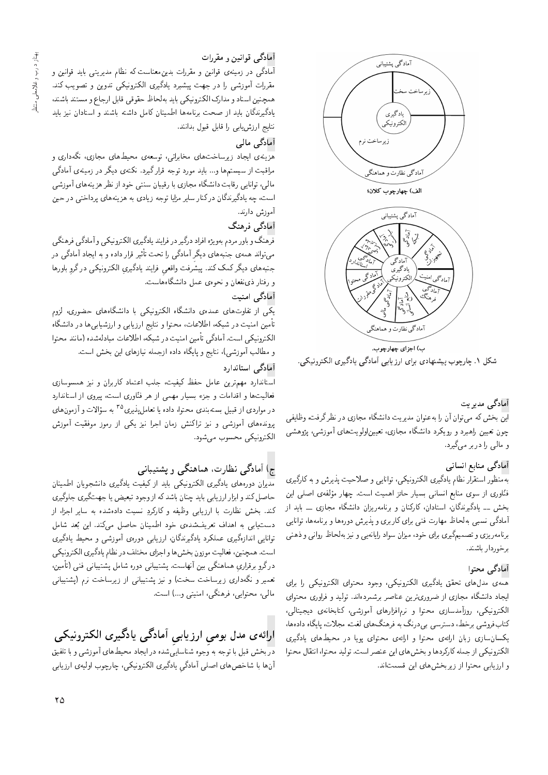

۔<br>آمادگی نظارت و ہماہنگہ

ب) اجزاي چهارچوب. شکل ۱. چارچوب پیشنهادی برای ارزیابی آمادگی یادگیری الکترونیکی.

آمادگی مدیریت<br>این بخش که میrقوان آن را بهعنوان مدیریت دانشگاه مجازی در نظرگرفت، وظایفی |i}=\_w 'CiQo Q\_v QO |R=Ht x=oWv=O C} Q}Ot u=wvax@ =Q u; u=wD|t xmVN@u}= چون نغیین راهبرد و رویدرد دانسداه مجازی، نغییناولویت های اموزسی، پژوهسی<br>المصدر ا و مالي را دربر مي گيرد.

# أمادگي منابع انساني

.<br>بهمنظور استقرار نظام يادگيري الكترونيكي، توانايي و صلاحيت يذيرش و به كارگيري قناوری از سوی منابع انسانی بسیار خانز اهمیت است. چهار مولفهی اصلی این<br>مید مسلم گریگان اسلامات کامیابی اسل - بح*س ــ یادتی*رمدنان، استادان، تارتیان و برنامهریزان دانستگاه مجازی ــ باید از<br>آیا گرینجا این این این محاج است این این محاوی محاوی این این این این آمادگ<sub>ی</sub> نسب<sub>ی</sub> بهلحاظ مهارت فنی برای کاربری و پذیرش دورهها و برنامهها، توانایی برنامه ریزی و تصمیمگیری برای خود، میزان سواد رایانهیی و نیز بهلحاظ روانی و ذهنی برخوردار باشند.

آمادگی محتوا<br>همهی مدلهای تحقق یادگیری الکترونیکی، وجود محتوای الکترونیکی را برای |يجاد دانشگاه مجازي از ضروريترين عناصر برشمردهاند. توليد و فراوري محتواي الكترونيكي، روزآمدسازي محتوا و نرمافزارهاي آموزشي، كتابخانهي ديجيتالي، الکترونیکی، روزامدسازی محتوا و نرم(فزارهای اموزسی، تنابخانهی دیجیتالی،<br>سرمینی میلی است. لناب قروسی برخصا، دسترسی بی در دف به فرهنگ های نعب، مجاز ب پایداه دادهها،<br>حمایل اسپل یکسان سازی زبان ارائهی محتوا و ارائهی محتوای پویا در محیطهای یادگیری الكترونيكي از جمله كاركردها و بخش هاى اين عنصر است. توليد محتوا، انتقال محتوا و ارزيابي محتوا از زيربخش هاى اين قسمتاند.

# أمادگي قوانين و مقررات

<sup>آم</sup>ادگی در زمینهی قوانین و مقررات بدین.معناست که نظام مدیریتی باید قوانین و مقررات آموزشی را در جهت پیشبرد یادگیری الکترونیکی تدوین و تصویب کند. همچنين اسناد و مدارك الكترونيكي بايد بهلحاظ حقوقي قابل ارجاع و مستند باشند، یادگیرندگان باید از صحت برنامهها اطمینان کامل داشته باشند و استادان نیز باید نتايج ارزشlابى را قابل قبول بدانند.

آمادگی مالی<br>هزشهی ایجاد زیرساختهای مخابراتی، توسعهی محیطهای مجازی، نگهداری و هزینهی ایجاد زیرساخت های محابراتی، نوشته ی محیط های مجازی، مده داری و<br>استاد مراقبت از سیستم ها و... باید مورد نوجه قرار نیرد. نکنهی دیگر در زمینهی آمادنی<br>المسیانات علم استان گان است است است. مالی، توانایی رقابت دانشگاه مجازی با رقیبان سنتی خود از نظر هزینههای آموزشی است، چه پادگیرندگان درکنار سایر مزایا توجه زیادی به هزینههای برداختی در حین آموزش دارند.

# أمادگي فرهنگ

فرهنگ و باور مردم بهو یژه افراد درگیر در فرایند یادگیری الکترونیکی و آمادگی فرهنگی می تواند همهی جنبههای دیگر امادگی را تحت تأثیر فرار داده و به ایجاد امادگی در<br>میسا مسیح سر سر سرمین مسیح است و است است است و سرمین سرمینی جنبههای دیگر کمک کند. پیشرفت واقعی فرایند یادگیریِ الکترونیکمی درگروِ باورها<br>مقدمات میشوارد و رفتار ذي نفعان و نحوهي عمل دانشگاه هاست.

#### آمادگی امنیت

یکی از تفاوتهای عمدهی دانشگاه الکترونیکی با دانشگاههای حضوری، لزوم تأمین امنیت در شبکه، اطلاعات، محتوا و نتایج ارزیابی و ارزشیابی ها در دانشگاه الكترونيكي است. أمادگي تأمين امنيت در شبكه، اطلاعات مبادلهشده (مانند محتوا و مطالب أموزشي)، نتايج و پايگاه داده ازجمله نيازهاى اين بخش است.

### آمادگے استاندارد

استاندارد مهمترین عامل حفظ کیفیت، جلب اعتماد کاربران و نیز همسوسازی<br>فعالیتها و اقدامات و جزء بسیار مهمی از هر فنّاوری است، پیروی از استاندارد OQ=Ov=DU= R= |wQ}B 'CU= |Qw=:vi Qy R= |tyt Q=}U@ <RH w C=t=Ok= w =yC}r=ai |=yuwtR; w Cq=- در مواردی از قبیل بستهبندی محتوا، داده یا تعامل پدیری° ' به سؤ<br>میسماسیاتی میدهدند و میکند پروندههای آموزسی و نیز برانسس زمان اجرا نیز یکی از رموز موقفیت آموزس<br>پرسمبر بر الكترونيكى محسوب مى شود.

# ج) آمادگی نظارت، هماهنگی و پشتیبانی

<mark>مدیران دورههای یادگیری الکترونیکی باید از کیفیت یادگیری دانشجویان اطمینان</mark><br>حاصل کند و ابزار ارزیابی باید چنان باشد که ازوجود تبعیض یا جهتگیری جلوگیری حاصل تمد و ابزار ارز یابی باید چمان باسد که از وجود تبعیض یا جهت نیری جدونیری<br>من مصدر مثال مسئل تند. بحس نظارت با آرزیابی وظیفه و تاردردِ نسبت دادهسده به سایر اجراه از<br>استان استان استان بودند و در این استان استان می است \* دست یابی به اهداف تعریف سده ی حود اطمینان حاصل می دند. این بعد سامل<br>تازایر ازامگری مراکبه بادگر زگانی این به معروف آینشن میشود اینگری الوانايي الدارةتيري عملكرد يادتيرندتان، ارزيابي دورەي اموزسي و محيط يادتيري<br>المصنعة المسلمان المصنعة المسلمان المسلمان المسلمان المصنعة المصنعة است. همچنین، فعالیت موزون بخس ها و اجزای محتلف در نظام یادلدیری الکترونیدی<br>سیست است. است تک درگرو برقراریِ هماهنگی بین انهاست. پشتیبانی دوره شامل پشتیبانی فنی (نامین،<br>-تعمیر و نگهداری زیرساخت سخت) و نیز پشتیبانی از زیرساخت نرم (پشتیبانی مالي، محتوابي، فرهنگي، امنيتي و...) است.

# ارائهی مدل بومی ارزیابی آمادگی یادگیری الکترونیکی

در بخش قبل با توجه به وَجوه شناسايَىشده درايجاد محيط هاى آموزشى و با تلفيق آنها با شاخصهاى اصلى أمادگى يادگيرى الكترونيكى، چارچوب اوليهى ارزيابى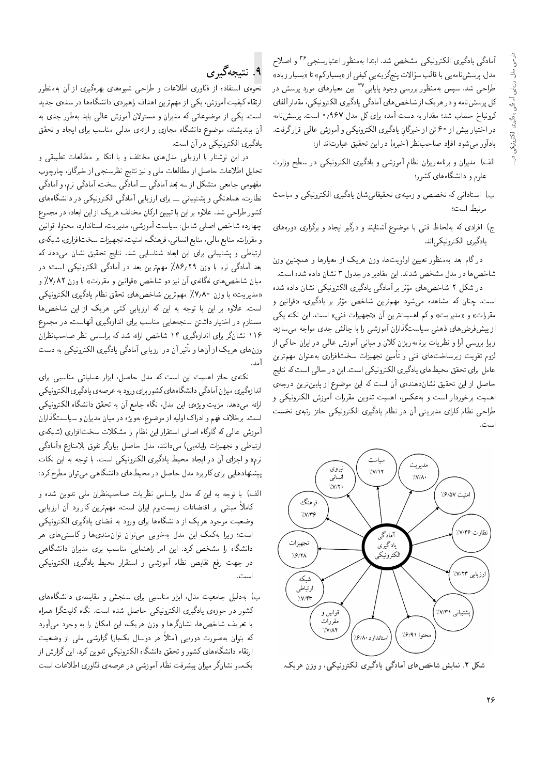أمادگي يادگيري الكترونيكي مشخص شد. ابتدا بهمنظور اعتبارسنجي <sup>۳۶</sup> و اصلاح مدل، پرسش نامەیی با فالب سۇالات پنج<زینەییِ ٹیفی از «بسیار نم» تا «بسیار زیاد»<br>با استخدار مدد استخدار استخدار استخدار استخدار استخدار استخدار میکند. طراحی شد. سپس بهمنظور بررسی وجود پایایی ' ' بین معیارهای مورد پرسش در<br>کارچین مارسلو کے این این ایس ایرانی کے لیے مسلمان کے مطابق لیل پرسس نامه و در هر یک از ساخص های امادلی یادلیری الکترونیکی، مقدار الفای<br>جین این سیاست و سیستان درونياح حساب سد: مقدار به دست آمده براي تل مدل ۷۰۷ ° است. پرسس،نامه<br>احداث احداث مصدات گانندگان انجام مصدر آن مصدات التصادی در اختیار بیش از °۶ تن از خبرکانِ یادگیری الکترونیکی و اموزش عالی قرار گرفت.<br>اگرچه میسازار مسابقات مناسبان میلی است توسط میاندار يادآور مى شود افراد صاحب نظر (خبره) در اين تحقيق عبارت اند از:

- الف) مديران و برنامه ريزان نظام أموزشي و يادگيري الكترونيكي در سطح وزارت علوم و دانشگاههای کشور؛
- ب) استادانی که تخصص و زمینهی تحقیقاتیشان یادگیری الکترونیکی و مباحث مرتبط است؛
- ج) افرادی که بهلحاظ فنبی با موضوع آشنایند و درگیر ایجاد و برگزاری دورههای يادگيري الكترونيكي|ند.

در گام بعد بهمنظور تعیین اولویتها، وزن هریک از معیارها و همچنین وزن شاخصها در مدل مشخص شدند. این مقادیر در جدول ۳ نشان داده شده است.<br>در شکل ۲ شاخصهای مؤثر بر آمادگی یادگیری الکترونیکی نشان داده شده

در سدل ۱ ساحص۵ای موتر بر امادتی یادلیزی الدیروییدی بسان داده سده<br>- اینکست ادابی سیسک و میسکند انداز منتقل کنید و تا w u}v=wk '|Q}oO=} Q@ QF wt XN=W u} QDsyt OwW|t xOy=Wt xm u=vJ "CU= .<br>.<br>. مقررات)) و «مدیریت)) و تم اهمیت رین آن «نجهبرات قبی» است. این محت یکی<br>است می دستار و است و است کارال آموز سالماند. از پیس قرص های دهمی سیاست نداران آموزسی را با چالس جدی مواجه می سازد،<br>المسلمان استفاده است است کاهی مسابق آموز استان استفاده استفاده R= |m =L u=Q}= QO |r=a VRwt; |v=}t w uqm u=R}Qxt=vQ@ C=} Q\_v w =Q; |UQQ@ =Q}R لزوم تقويت زيرساخت،هاى فنى و تأمين تجهيزات سختافزارى به عنوان مهمترين عامل براي تحقق محيطهاي يادگيري الكترونيكي است. اين در حالي است كه نتايج حاصل از این تحقیق نشاندهندهی آن است که این موضوع از پایینترین درجهی اهميت برخوردار است و بهءكس، اهميت تدوين مقررات آموزش الكترونيكي و طراحي نظام كاراي مديريتي أن در نظام يادگيري الكترونيكي حائز رتبهي نخست است.



شکل ۲. نمایش شاخصهای آمادگی یادگیری الکترونیکی، و وزن هریک.

# ۹. نتيجهڱيږي

<mark>نح</mark>وهی استفاده از فنّاوری اطلاعات و طراحی شیوههای بهرهگیری از آن بهمنظور<br>ارتقاء کیفیت آموزش، یکی از مهمترین اهداف راهبردی دانشگاهها در سدهی جدید ارتفاء لیقیت اموزس، یکی از مهم رین اهداف راهبردی دانسداهها در سدهی جدید<br>ا است. یکی از موصوعاتی که مدیران و مستولان آموزس عالی باید بهطور جدی به<br>آیست: مدیر مدیر استگا آن بیندیشند، موضوع دانشگاه مجازی و ارائهی مدل<sub>ی</sub> مناسب برای ایجاد و تحقق

یادگیری الکترونیکی در آن است.<br>در این نوشتار با ارزیابی مدل۱های مختلف و با اتکا بر مطالعات تطبیقی و w |k}@]D C=ar=]t Q@ =mD= =@ w hrDNt |=ypOt |@=}RQ= =@ Q=DWwv u}= QO تحلیل اطلاعات حاصل از مطالعات ملی و نیز ندایج نظرستجی از حبردان، چارچوب<br>. مفهومی جامعی مستحل از سه بعد امادتی ــ امادتی سخت، امادتی ترم، و امادتی<br>نظاریت و اودگی میشود:<br>نظاریت و اودگی لطارت، هماهند<sub>ی</sub> و پسیبانی ــ برای آرزیابی امادتی الکترونیکی در دانستادهای<br>مناطقه استفاده این استفاده استفادهای استفاده کشور طراحی شد. علاوه بر این با تبیین ارکان مختلف هریک از این ابعاد، در مجموع<br>چهارده شاخص اصلی شامل: سیاست آموزشی، مدیریت، استاندارد، محتوا، قوانین u}v=wk '=wDLt 'OQ=Ov=DU= 'C} Q}Ot '|WRwt; CU=}U %pt=W |rY= XN=W xOQ=yJ و مقررات، مبابع مالی، مبابع اسپانی، فرهنگ، امییت، بچهیزات سختافزاری، سیده ی<br>احدا استقلیم ارتباطی و پشتیبانی برای این ابعاد شناسایی شد. نتایج تحقیق نشان می دهد که بعد آمادگی نرم با وزن ۸۶٬۲۹٪ مهمترین بعد در آمادگی الکترونیکی است؛ در میان شاخص های نهگانهی آن نیز دو شاخص «قوانین و مقررات» با وزن ۷٬۷٬۸۲٪ و «مديريت» با وزن ٧,٨٠٪ مهمترين شاخصهاى تحقق نظام يادگيرى الكترونيكى مستلزم در اختیار داشتن سنجههایی مناسب برای اندازهگیری آنهاست، در مجموع است. علاوه بر این با توجه به این که ارزیابی کمّی هریک از این شاخصها مسدارم در احتیار داستن سنجههایی مناسب برای اندازهبری انهاست، در مجموع<br>۱۰۰۵ تاریخ را سال گرم به ۱۰۰۵ در سال میکرد است میلیارد. ۱۱۲ بسان(در بوای آندازدنیری ۱۱ ساحص آرائه سد که بواساس نظر صاحب نظران<br>استمرار از کار ساله آن ساسا با آباد کاربر از کاربر در وزن های هر یک از آن ها و تاتیر آن در ارزیابی امادنی یادئیری الکترونیکی به دست<br>ت ا مد.<br>.

نكتهى حائز اهميت اين است كه مدل حاصل، ابزار عملياتي مناسبي براى اندازهگیری میزان آمادگی دانشگاههای کشور برای ورود به عرصه ی یادگیری الکترونیکی<br>ارائه می۵هد. مزیت و یژهی این مدل، نگاه جامع آن به تحقق دانشگاه الکترونیکی ارائه می1هد. مزیب ویژهی این مدل، نکاه جامع آن به تحقق دانستگاه الکترونیکی<br>ا است. برحلاف فهم و ادرات اوليه از موضوع، بهويزه در ميان مديران و سياست(داران<br>آيست ميسال حريح الحرب المساح المساح المساح و المحاف آموزش عالمی که گلوگاه اصلمی استقرار این نظام را مشکلات سخت|فزاری (شبکهی<br>ارتباطی و تجهیزات رایانهیی) می،دانند، مدل حاصل بیانگر تفوق بلامنازع «آمادگی ارب طی و بچهیزات رایانه یی) میدانند، مدل حاصل بیان در نقوق بازمنازع «امادتی<br>مسلمات الساسیة درم» و اجزای آن در آیجاد محیط یادتیری الکترونیکی است. با نوجه به این نکات<br>میدان از این است که این این این این این این گار سیاست که پیشنهادهایی برای کاربرد مدل حاصل در محیط های دانشگاهی می توان مطرح کرد:

- الف) با توجه به این که مدل براساس نظریات صاحب نظران ملبی تدوین شده و كاملاً مبتنى بر اقتضائات زيستبوم ايران است، مهمترين كاربرد آن ارزيابى وضعیت موجود هریک از دانشگاهها برای ورود به فضای یادگیری الکترونیکمی است؛ زیرا بهکمک این مدل بهخوبی میتوان توان مندی ها و کاستی های هر دانشگاه را مشخص کرد. این امر راهنمایی مناسب برای مدیران دانشگاهی در جهت رفع نقايص نظام أموزشي و استقرار محيط يادگيرى الكترونيكي است.
- ب) بهدلیل جامعیت مدل، ابزار مناسبی برای سنجش و مقایسهی دانشگاههای<br>کشور در حوزهی یادگیری الکترونیکی حاصل شده است. نگاه کلیتگرا همراه تسور در خوزەی يادتيری الدرونيمی حاصل سده است. نماه تنيب ترا همراه<br>احتمد المالغات المنابع با مریف ساحص۵۱، سان(رها و وزن هریف) این امدان را به وجود می اورد<br>بر سال این المدان که بتوان بهصورت دورهیی (مثلاً هر دوسال یکبار) گزارشی ملی از وضعیت ارتقاء دانشگاههای کشور و تحقق دانشگاه الکترونیکی تدوین کرد. این گزارش از یکسو نشانگر میزان پیشرفت نظام آموزشی در عرصهی فنّاوری اطلاعات است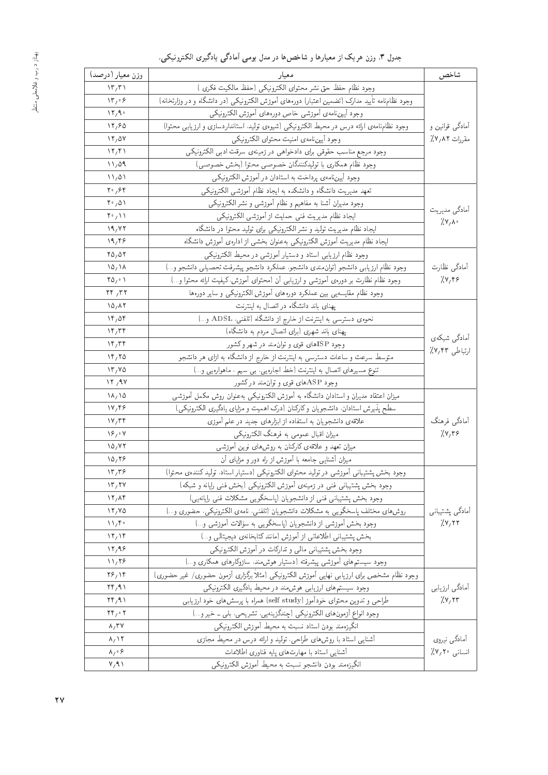| وزن معيار (درصد)                                | معيار                                                                                         | شاخص             |  |
|-------------------------------------------------|-----------------------------------------------------------------------------------------------|------------------|--|
| $\langle \mathbf{r}, \mathbf{r} \rangle$        | وجود نظام حفظ حق نشر محتواى الكترونيكي (حفظ مالكيت فكرى )                                     |                  |  |
| $\mathcal{N}_{\mathcal{L}} \circ \mathcal{L}$   | وجود نظامنامه تأیید مدارک (تضمین اعتبار) دورههای آموزش الکترونیکی (در دانشگاه و در وزارتخانه) |                  |  |
| $\mathcal{N} \mathcal{N} \mathcal{N}$           | وجود أيين نامهى أموزشي خاص دورههاى أموزش الكترونيكي                                           |                  |  |
| 17,80                                           | وجود نظامنامه یارائه درس در محیط الکترونیکی (شیوهی تولید، استانداردسازی و ارزیابی محتوا)      | آمادگی قوانین و  |  |
| 11/0V                                           | وجود أيين نامهى امنيت محتواى الكترونيكي                                                       | مقررات ٨٢٪/      |  |
| $\mathcal{N}_{\mathcal{J}}$                     | وجود مرجع مناسب حقوقى براى دادخواهى در زمينهى سرقت ادبى الكترونيكي                            |                  |  |
| 11,09                                           | وجود نظام همكاري با توليدكنندگان خصوصي محتوا (بخش خصوصي)                                      |                  |  |
| $\mathcal{N}_{1/2}$                             | وجود آیین نامه ی پرداخت به استادان در آموزش الکترونیکی                                        |                  |  |
| $Y^{\circ}/Y^{\circ}$                           | تعهد مدیریت دانشگاه و دانشکده به ایجاد نظام آموزشی الکترونیکی                                 |                  |  |
| $\mathbf{Y} \cdot \mathbf{0}$                   | وجود مديران أشنا به مفاهيم و نظام أموزشي و نشر الكترونيكي                                     |                  |  |
| $Y^{\circ}/V$                                   | ايجاد نظام مديريت فنبي حمايت از أموزشي الكترونيكي                                             | آمادگی مدیریت    |  |
| 19, YY                                          | ایجاد نظام مدیریت تولید و نشر الکترونیکی برای تولید محتوا در دانشگاه                          | $7.87 \text{ A}$ |  |
| 19,99                                           | ایجاد نظام مدیریت آموزش الکترونیکی به عنوان بخشی از ادارهی آموزش دانشگاه                      |                  |  |
| $\Gamma \Delta$ , $\Delta \Gamma$               | وجود نظام ارزيابي استاد و دستيار آموزشي در محيط الكترونيكي                                    |                  |  |
| $\lambda \Delta/ \lambda \lambda$               | وجود نظام ارزيابي دانشجو (توان مندى دانشجو، عملكرد دانشجو پيشرفت تحصيلي دانشجو و)             | آمادگی نظارت     |  |
| $\Upsilon \Delta_f \cdot \Upsilon$              | وجود نظام نظارت بر دورهى أموزشي و ارزيابي أن (محتواى أموزش، كيفيت ارائه محتوا و…)             | 7.479            |  |
| $\mathbf{Y} \mathbf{Y} / \mathbf{Y} \mathbf{Y}$ | وجود نظام مقایسهیی بین عملکرد دورههای آموزش الکترونیکی و سایر دورهها                          |                  |  |
| $\lambda \Delta / \lambda T$                    | یهنای باند دانشگاه در اتصال به اینترنت                                                        |                  |  |
| $\mathcal{N} \mathcal{F}_f \Delta \mathcal{F}$  | نحوهى دسترسى به اينترنت از خارج از دانشگاه (تلفنى، ADSL و)                                    |                  |  |
| $\mathcal{N}$                                   | پهنای باند شهری (برای اتصال مردم به دانشگاه)                                                  |                  |  |
| $\mathcal{N}$                                   | وجود ISPهای قوی و توان.مند در شهر و کشور                                                      | أمادگي شبكهي     |  |
| 19,70                                           | متوسط سرعت و ساعات دسترسی به اینترنت از خارج از دانشگاه به ازای هر دانشجو                     | ارتباطي ٢٣/٧٪    |  |
| $\mathcal{N}$                                   | تنوع مسیرهای اتصال به اینترنت (خط اجارهیی، بی سیم ، ماهوارهیی و…)                             |                  |  |
| 17,9V                                           | وجود ASP های قوی و توان مند درکشور                                                            |                  |  |
| $\lambda/\lambda$                               | میزان اعتقاد مدیران و استادان دانشگاه به آموزش الکترونیکی بهعنوان روش مکمل آموزشی             |                  |  |
| $\frac{1}{4}$                                   | سطح پذیرش استادان، دانشجویان وکارکنان (درک اهمیت و مزایای یادگیری الکترونیکی)                 |                  |  |
| Y/Tf                                            | علاقهی دانشجویان به استفاده از ابزارهای جدید در علم آموزی                                     | أمادگی فرهنگ     |  |
| $\mathcal{S}_{1} \circ \mathcal{V}$             | میزان اقبال عمومی به فرهنگ الکترونیکی                                                         | 7.8779           |  |
| $\lambda \Delta / VV$                           | میزان تعهد و علاقه ی کارکنان به روشهای نوین آموزشی                                            |                  |  |
| 10,79                                           | میزان آشنایی جامعه با آموزش از راه دور و مزایای آن                                            |                  |  |
| $\mathcal{N}, \mathcal{R}$                      | وجود بخش پشتیبانی أموزشی در تولید محتوای الکترونیکی (دستیار استاد، تولید کنندهی محتوا)        |                  |  |
| $\mathcal{N}$ $\mathcal{N}$                     | وجود بخش پشتیبانی فنی در زمینهی آموزش الکترونیکی (بخش فنی رایانه و شبکه)                      |                  |  |
| 17, 19                                          | وجود بخش پشتیبانی فنی از دانشجویان (پاسخگویی مشکلات فنی رایانهیی)                             |                  |  |
| 17/40                                           | روش های مختلف پاسخگویی به مشکلات دانشجویان (تلفنی، نامهی الکترونیکی، حضوری و)                 | أمادگي پشتيباني  |  |
| 11/f                                            | وجود بخش آموزشی از دانشجویان (پاسخگویی به سؤالات آموزشی و…)                                   | 7.477            |  |
| $\mathcal{N}_{1}$ $\mathcal{N}_{2}$             | بخش يشتيباني اطلاعاتي از أموزش (مانند كتابخانهي ديجيتالي و)                                   |                  |  |
| 17,99                                           | وجود بخش پشتیبانی مالی و تدارکات در آموزش الکترونیکی                                          |                  |  |
| 11,79                                           | وجود سیستمههای آموزشی پیشرفته (دستیار هوش.ند. سازوکارهای همکاری و…)                           |                  |  |
| $Y$ $9$ $Y$                                     | وجود نظام مشخص برای ارزیابی نهایی آموزش الکترونیکی (مثلاً برگزاری آزمون حضوری/ غیر حضوری)     |                  |  |
| $\mathbf{Y} \mathbf{F} / \mathbf{A}$            | وجود سیستم های ارزیابی هوش مند در محیط یادگیری الکترونیکی                                     | آمادگی ارزیابی   |  |
| $\Upsilon f / \Upsilon$                         | طراحی و تدوین محتوای خودآموز (self study) همراه با پرسش های خود ارزیابی                       | 7.877            |  |
| $\mathbf{Y} \mathbf{Y}_1 \cdot \mathbf{Y}$      | وجود انواع آزمون های الکترونیکی (چندگزینهیی، تشریحی، بلی ــ خیر و…)                           |                  |  |
| $\lambda, \Upsilon$ Y                           | انگیزهمند بودن استاد نسبت به محیط آموزش الکترونیکی                                            |                  |  |
| $\lambda$ / ۱۲                                  | أشنایی استاد با روشهای طراحی، تولید و ارائه درس در محیط مجازی                                 | أمادگي نيروي     |  |
| $\lambda_{1} \circ \varphi$                     | أشنايي استاد با مهارت هاى پايه فناورى اطلاعات                                                 | انسانی ۲۰/۷٪     |  |
| V/9.1                                           | انگیزهمند بودن دانشجو نسبت به محیط آموزش الکترونیکی                                           |                  |  |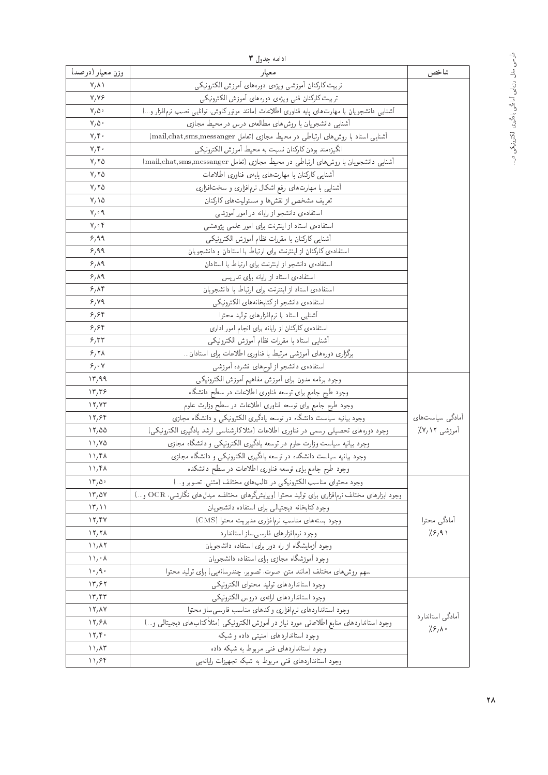| وزن معيار (درصد)<br>معدار<br>شاخص<br>$V/\Lambda$<br>تربيت كاركنان أموزشي ويژهى دورههاى أموزش الكترونيكي<br>تربيت كاركنان فنى ويژهى دورههاى أموزش الكترونيكى<br>V/V<br>أشنايي دانشجويان با مهارت هاى پايه فناورى اطلاعات (مانند موتوركاوش، توانايي نصب نرمافزار و)<br>$V/\Delta$ .<br>$V/\Delta$<br>أشنایی دانشجویان با روش های مطالعهی درس در محیط مجازی<br>أشنايي استاد با روش هاى ارتباطي در محيط مجازى (تعامل mail,chat,sms,messanger)<br>$V, \mathfrak{f}$ .<br>انگیزهمند بودن کارکنان نسبت به محیط آموزش الکترونیکی<br>$V, \mathfrak{f}$ .<br>آشنایی دانشجویان با روش های ارتباطی در محیط مجازی (تعامل mail,chat,sms,messanger)<br>V, V<br>أشنايي كاركنان با مهارت هاى پايهى فناورى اطلاعات<br>V, V<br>آشنایی با مهارت های رفع اشکال نرمافزاری و سخت!فزاری<br>$Y, Y \Delta$<br>تعریف مشخص از نقشها و مسئولیتهای کارکنان<br>$Y/\Delta$<br>استفاده یدانشجو از رایانه در امور آموزشی<br>$V, \circ \Lambda$<br>استفادهى استاد ازاينترنت براى امور علمى پژوهشى<br>$V, \cdot$ ۴<br>أشنايي كاركنان با مقررات نظام أموزش الكترونيكي<br>8,99<br>8,99<br>استفاده ی کارکنان از اینترنت برای ارتباط با استادان و دانشجویان<br>استفادهى دانشجو از اينترنت براى ارتباط با استادان<br>9,19<br>استفادهى استاد از رايانه براى تدريس<br>9,19<br>9,88<br>استفاده یاستاد از اینترنت برای ارتباط با دانشجویان<br>استفادهى دانشجو ازكتابخانههاى الكترونيكي<br>8,49<br>أشنايي استاد با نرمافزارهاى توليد محتوا<br>8,88<br>استفادهی کارکنان از رایانه برای انجام امور اداری<br>8,88<br>أشنايي استاد با مقررات نظام أموزش الكترونيكي<br>8.57<br>برگزاری دورههای آموزشی مرتبط با فناوری اطلاعات برای استادان<br>9,71<br>$\mathcal{S}_f \circ \mathsf{V}$<br>استفادهى دانشجو از لوح هاى فشرده أموزشى<br>وجود برنامه مدون براى أموزش مفاهيم أموزش الكترونيكي<br>$\mathcal{N}^{\mu}$<br>وجود طرح جامع براى توسعه فناورى اطلاعات در سطح دانشگاه<br>$\mathcal{N}, \mathcal{R}$<br>وجود طرح جامع براى توسعه فناورى اطلاعات در سطح وزارت علوم<br>$\frac{17}{10}$<br>وجود بیانیه سیاست دانشگاه در توسعه یادگیری الکترونیکمی و دانشگاه مجازی<br>آمادگی سیاست های<br>17,89<br>وجود دورههای تحصیلی رسمی در فناوری اطلاعات (مثلاکارشناسی ارشد یادگیری الکترونیکی)<br>آموزشی ۱۲/۷٪<br>17,00<br>وجود بیانیه سیاست وزارت علوم در توسعه یادگیری الکترونیکی و دانشگاه مجازی<br>11/40<br>وجود بیانیه سیاست دانشکده در توسعه یادگیری الکترونیکی و دانشگاه مجازی<br>$\mathcal{N}_{1}$ ۴۸<br>$\mathcal{N}_1$ ۴۸<br>وجود طرح جامع براى توسعه فناورى اطلاعات در سطح دانشكده<br>وجود محتواى مناسب الكترونيكي در قالب هاى مختلف (متنبى، تصوير و)<br>$\mathcal{M}_1 \Delta \cdot$<br>وجود ابزارهای مختلف نرم فزاری برای تولید محتوا (ویرایشگرهای مختلف، مبدلهای نگارشی، OCR و…)<br>17,04<br>وجود كتابخانه ديجتيالي براى استفاده دانشجويان<br>$\langle \mathcal{T}_f \rangle$<br>وجود بسته هاى مناسب نرم فزارى مديريت محتوا (CMS)<br>أمادگي محتوا<br>17,94<br>7.8,91<br>وجود نرمافزارهاى فارسى ساز استاندارد<br>$\frac{11}{10}$<br>وجود آزمایشگاه از راه دور برای استفاده دانشجویان<br>$\mathcal{N}_{1}$ $\mathcal{N}$<br>وجود أموزشگاه مجازى براى استفاده دانشجويان<br>$\bigwedge_{j\in\Lambda}A$<br>سهم روشهای مختلف (مانند متن، صوت، تصویر، چندرسانهیی) برای تولید محتوا<br>$\mathcal{N} \circ \mathcal{A}$<br>وجود استانداردهاى توليد محتواى الكترونيكي<br>$\mathcal{N}^{\mu}$<br>وجود استانداردهاى ارائهى دروس الكترونيكي<br>$\mathcal{N}, \mathcal{N}$<br>وجود استانداردهای نرم فزاری وکدهای مناسب فارسی ساز محتوا<br>$\mathcal{N}$ / $\mathcal{N}$<br>آمادگی استاندارد<br>وجود استانداردهای منابع اطلاعاتی مورد نیاز در آموزش الکترونیکی (مثلاً کتابهای دیجیتالمی و…)<br>$\frac{17}{50}$<br>$7.8,$ $\lambda$ .<br>وجود استانداردهای امنیتی داده و شبکه<br>$\mathcal{N}, \mathcal{F}$<br>وجود استانداردهای فنی مربوط به شبکه داده<br>$\mathcal{N}_{1}$ $\Lambda$ ۳<br>وجود استانداردهای فنبی مربوط به شبکه تجهیزات رایانهیی<br>11,94 | ادامه جدول ٣ |  |
|--------------------------------------------------------------------------------------------------------------------------------------------------------------------------------------------------------------------------------------------------------------------------------------------------------------------------------------------------------------------------------------------------------------------------------------------------------------------------------------------------------------------------------------------------------------------------------------------------------------------------------------------------------------------------------------------------------------------------------------------------------------------------------------------------------------------------------------------------------------------------------------------------------------------------------------------------------------------------------------------------------------------------------------------------------------------------------------------------------------------------------------------------------------------------------------------------------------------------------------------------------------------------------------------------------------------------------------------------------------------------------------------------------------------------------------------------------------------------------------------------------------------------------------------------------------------------------------------------------------------------------------------------------------------------------------------------------------------------------------------------------------------------------------------------------------------------------------------------------------------------------------------------------------------------------------------------------------------------------------------------------------------------------------------------------------------------------------------------------------------------------------------------------------------------------------------------------------------------------------------------------------------------------------------------------------------------------------------------------------------------------------------------------------------------------------------------------------------------------------------------------------------------------------------------------------------------------------------------------------------------------------------------------------------------------------------------------------------------------------------------------------------------------------------------------------------------------------------------------------------------------------------------------------------------------------------------------------------------------------------------------------------------------------------------------------------------------------------------------------------------------------------------------------------------------------------------------------------------------------------------------------------------------------------------------------------------------------------------------------------------------------------------------------------------------------------------------------------------------------------------------------------------------------------------------------------------------------------------------------------------------------------------------------------------------------------------------------------------------------------------------------------------------------------|--------------|--|
|                                                                                                                                                                                                                                                                                                                                                                                                                                                                                                                                                                                                                                                                                                                                                                                                                                                                                                                                                                                                                                                                                                                                                                                                                                                                                                                                                                                                                                                                                                                                                                                                                                                                                                                                                                                                                                                                                                                                                                                                                                                                                                                                                                                                                                                                                                                                                                                                                                                                                                                                                                                                                                                                                                                                                                                                                                                                                                                                                                                                                                                                                                                                                                                                                                                                                                                                                                                                                                                                                                                                                                                                                                                                                                                                                                                            |              |  |
|                                                                                                                                                                                                                                                                                                                                                                                                                                                                                                                                                                                                                                                                                                                                                                                                                                                                                                                                                                                                                                                                                                                                                                                                                                                                                                                                                                                                                                                                                                                                                                                                                                                                                                                                                                                                                                                                                                                                                                                                                                                                                                                                                                                                                                                                                                                                                                                                                                                                                                                                                                                                                                                                                                                                                                                                                                                                                                                                                                                                                                                                                                                                                                                                                                                                                                                                                                                                                                                                                                                                                                                                                                                                                                                                                                                            |              |  |
|                                                                                                                                                                                                                                                                                                                                                                                                                                                                                                                                                                                                                                                                                                                                                                                                                                                                                                                                                                                                                                                                                                                                                                                                                                                                                                                                                                                                                                                                                                                                                                                                                                                                                                                                                                                                                                                                                                                                                                                                                                                                                                                                                                                                                                                                                                                                                                                                                                                                                                                                                                                                                                                                                                                                                                                                                                                                                                                                                                                                                                                                                                                                                                                                                                                                                                                                                                                                                                                                                                                                                                                                                                                                                                                                                                                            |              |  |
|                                                                                                                                                                                                                                                                                                                                                                                                                                                                                                                                                                                                                                                                                                                                                                                                                                                                                                                                                                                                                                                                                                                                                                                                                                                                                                                                                                                                                                                                                                                                                                                                                                                                                                                                                                                                                                                                                                                                                                                                                                                                                                                                                                                                                                                                                                                                                                                                                                                                                                                                                                                                                                                                                                                                                                                                                                                                                                                                                                                                                                                                                                                                                                                                                                                                                                                                                                                                                                                                                                                                                                                                                                                                                                                                                                                            |              |  |
|                                                                                                                                                                                                                                                                                                                                                                                                                                                                                                                                                                                                                                                                                                                                                                                                                                                                                                                                                                                                                                                                                                                                                                                                                                                                                                                                                                                                                                                                                                                                                                                                                                                                                                                                                                                                                                                                                                                                                                                                                                                                                                                                                                                                                                                                                                                                                                                                                                                                                                                                                                                                                                                                                                                                                                                                                                                                                                                                                                                                                                                                                                                                                                                                                                                                                                                                                                                                                                                                                                                                                                                                                                                                                                                                                                                            |              |  |
|                                                                                                                                                                                                                                                                                                                                                                                                                                                                                                                                                                                                                                                                                                                                                                                                                                                                                                                                                                                                                                                                                                                                                                                                                                                                                                                                                                                                                                                                                                                                                                                                                                                                                                                                                                                                                                                                                                                                                                                                                                                                                                                                                                                                                                                                                                                                                                                                                                                                                                                                                                                                                                                                                                                                                                                                                                                                                                                                                                                                                                                                                                                                                                                                                                                                                                                                                                                                                                                                                                                                                                                                                                                                                                                                                                                            |              |  |
|                                                                                                                                                                                                                                                                                                                                                                                                                                                                                                                                                                                                                                                                                                                                                                                                                                                                                                                                                                                                                                                                                                                                                                                                                                                                                                                                                                                                                                                                                                                                                                                                                                                                                                                                                                                                                                                                                                                                                                                                                                                                                                                                                                                                                                                                                                                                                                                                                                                                                                                                                                                                                                                                                                                                                                                                                                                                                                                                                                                                                                                                                                                                                                                                                                                                                                                                                                                                                                                                                                                                                                                                                                                                                                                                                                                            |              |  |
|                                                                                                                                                                                                                                                                                                                                                                                                                                                                                                                                                                                                                                                                                                                                                                                                                                                                                                                                                                                                                                                                                                                                                                                                                                                                                                                                                                                                                                                                                                                                                                                                                                                                                                                                                                                                                                                                                                                                                                                                                                                                                                                                                                                                                                                                                                                                                                                                                                                                                                                                                                                                                                                                                                                                                                                                                                                                                                                                                                                                                                                                                                                                                                                                                                                                                                                                                                                                                                                                                                                                                                                                                                                                                                                                                                                            |              |  |
|                                                                                                                                                                                                                                                                                                                                                                                                                                                                                                                                                                                                                                                                                                                                                                                                                                                                                                                                                                                                                                                                                                                                                                                                                                                                                                                                                                                                                                                                                                                                                                                                                                                                                                                                                                                                                                                                                                                                                                                                                                                                                                                                                                                                                                                                                                                                                                                                                                                                                                                                                                                                                                                                                                                                                                                                                                                                                                                                                                                                                                                                                                                                                                                                                                                                                                                                                                                                                                                                                                                                                                                                                                                                                                                                                                                            |              |  |
|                                                                                                                                                                                                                                                                                                                                                                                                                                                                                                                                                                                                                                                                                                                                                                                                                                                                                                                                                                                                                                                                                                                                                                                                                                                                                                                                                                                                                                                                                                                                                                                                                                                                                                                                                                                                                                                                                                                                                                                                                                                                                                                                                                                                                                                                                                                                                                                                                                                                                                                                                                                                                                                                                                                                                                                                                                                                                                                                                                                                                                                                                                                                                                                                                                                                                                                                                                                                                                                                                                                                                                                                                                                                                                                                                                                            |              |  |
|                                                                                                                                                                                                                                                                                                                                                                                                                                                                                                                                                                                                                                                                                                                                                                                                                                                                                                                                                                                                                                                                                                                                                                                                                                                                                                                                                                                                                                                                                                                                                                                                                                                                                                                                                                                                                                                                                                                                                                                                                                                                                                                                                                                                                                                                                                                                                                                                                                                                                                                                                                                                                                                                                                                                                                                                                                                                                                                                                                                                                                                                                                                                                                                                                                                                                                                                                                                                                                                                                                                                                                                                                                                                                                                                                                                            |              |  |
|                                                                                                                                                                                                                                                                                                                                                                                                                                                                                                                                                                                                                                                                                                                                                                                                                                                                                                                                                                                                                                                                                                                                                                                                                                                                                                                                                                                                                                                                                                                                                                                                                                                                                                                                                                                                                                                                                                                                                                                                                                                                                                                                                                                                                                                                                                                                                                                                                                                                                                                                                                                                                                                                                                                                                                                                                                                                                                                                                                                                                                                                                                                                                                                                                                                                                                                                                                                                                                                                                                                                                                                                                                                                                                                                                                                            |              |  |
|                                                                                                                                                                                                                                                                                                                                                                                                                                                                                                                                                                                                                                                                                                                                                                                                                                                                                                                                                                                                                                                                                                                                                                                                                                                                                                                                                                                                                                                                                                                                                                                                                                                                                                                                                                                                                                                                                                                                                                                                                                                                                                                                                                                                                                                                                                                                                                                                                                                                                                                                                                                                                                                                                                                                                                                                                                                                                                                                                                                                                                                                                                                                                                                                                                                                                                                                                                                                                                                                                                                                                                                                                                                                                                                                                                                            |              |  |
|                                                                                                                                                                                                                                                                                                                                                                                                                                                                                                                                                                                                                                                                                                                                                                                                                                                                                                                                                                                                                                                                                                                                                                                                                                                                                                                                                                                                                                                                                                                                                                                                                                                                                                                                                                                                                                                                                                                                                                                                                                                                                                                                                                                                                                                                                                                                                                                                                                                                                                                                                                                                                                                                                                                                                                                                                                                                                                                                                                                                                                                                                                                                                                                                                                                                                                                                                                                                                                                                                                                                                                                                                                                                                                                                                                                            |              |  |
|                                                                                                                                                                                                                                                                                                                                                                                                                                                                                                                                                                                                                                                                                                                                                                                                                                                                                                                                                                                                                                                                                                                                                                                                                                                                                                                                                                                                                                                                                                                                                                                                                                                                                                                                                                                                                                                                                                                                                                                                                                                                                                                                                                                                                                                                                                                                                                                                                                                                                                                                                                                                                                                                                                                                                                                                                                                                                                                                                                                                                                                                                                                                                                                                                                                                                                                                                                                                                                                                                                                                                                                                                                                                                                                                                                                            |              |  |
|                                                                                                                                                                                                                                                                                                                                                                                                                                                                                                                                                                                                                                                                                                                                                                                                                                                                                                                                                                                                                                                                                                                                                                                                                                                                                                                                                                                                                                                                                                                                                                                                                                                                                                                                                                                                                                                                                                                                                                                                                                                                                                                                                                                                                                                                                                                                                                                                                                                                                                                                                                                                                                                                                                                                                                                                                                                                                                                                                                                                                                                                                                                                                                                                                                                                                                                                                                                                                                                                                                                                                                                                                                                                                                                                                                                            |              |  |
|                                                                                                                                                                                                                                                                                                                                                                                                                                                                                                                                                                                                                                                                                                                                                                                                                                                                                                                                                                                                                                                                                                                                                                                                                                                                                                                                                                                                                                                                                                                                                                                                                                                                                                                                                                                                                                                                                                                                                                                                                                                                                                                                                                                                                                                                                                                                                                                                                                                                                                                                                                                                                                                                                                                                                                                                                                                                                                                                                                                                                                                                                                                                                                                                                                                                                                                                                                                                                                                                                                                                                                                                                                                                                                                                                                                            |              |  |
|                                                                                                                                                                                                                                                                                                                                                                                                                                                                                                                                                                                                                                                                                                                                                                                                                                                                                                                                                                                                                                                                                                                                                                                                                                                                                                                                                                                                                                                                                                                                                                                                                                                                                                                                                                                                                                                                                                                                                                                                                                                                                                                                                                                                                                                                                                                                                                                                                                                                                                                                                                                                                                                                                                                                                                                                                                                                                                                                                                                                                                                                                                                                                                                                                                                                                                                                                                                                                                                                                                                                                                                                                                                                                                                                                                                            |              |  |
|                                                                                                                                                                                                                                                                                                                                                                                                                                                                                                                                                                                                                                                                                                                                                                                                                                                                                                                                                                                                                                                                                                                                                                                                                                                                                                                                                                                                                                                                                                                                                                                                                                                                                                                                                                                                                                                                                                                                                                                                                                                                                                                                                                                                                                                                                                                                                                                                                                                                                                                                                                                                                                                                                                                                                                                                                                                                                                                                                                                                                                                                                                                                                                                                                                                                                                                                                                                                                                                                                                                                                                                                                                                                                                                                                                                            |              |  |
|                                                                                                                                                                                                                                                                                                                                                                                                                                                                                                                                                                                                                                                                                                                                                                                                                                                                                                                                                                                                                                                                                                                                                                                                                                                                                                                                                                                                                                                                                                                                                                                                                                                                                                                                                                                                                                                                                                                                                                                                                                                                                                                                                                                                                                                                                                                                                                                                                                                                                                                                                                                                                                                                                                                                                                                                                                                                                                                                                                                                                                                                                                                                                                                                                                                                                                                                                                                                                                                                                                                                                                                                                                                                                                                                                                                            |              |  |
|                                                                                                                                                                                                                                                                                                                                                                                                                                                                                                                                                                                                                                                                                                                                                                                                                                                                                                                                                                                                                                                                                                                                                                                                                                                                                                                                                                                                                                                                                                                                                                                                                                                                                                                                                                                                                                                                                                                                                                                                                                                                                                                                                                                                                                                                                                                                                                                                                                                                                                                                                                                                                                                                                                                                                                                                                                                                                                                                                                                                                                                                                                                                                                                                                                                                                                                                                                                                                                                                                                                                                                                                                                                                                                                                                                                            |              |  |
|                                                                                                                                                                                                                                                                                                                                                                                                                                                                                                                                                                                                                                                                                                                                                                                                                                                                                                                                                                                                                                                                                                                                                                                                                                                                                                                                                                                                                                                                                                                                                                                                                                                                                                                                                                                                                                                                                                                                                                                                                                                                                                                                                                                                                                                                                                                                                                                                                                                                                                                                                                                                                                                                                                                                                                                                                                                                                                                                                                                                                                                                                                                                                                                                                                                                                                                                                                                                                                                                                                                                                                                                                                                                                                                                                                                            |              |  |
|                                                                                                                                                                                                                                                                                                                                                                                                                                                                                                                                                                                                                                                                                                                                                                                                                                                                                                                                                                                                                                                                                                                                                                                                                                                                                                                                                                                                                                                                                                                                                                                                                                                                                                                                                                                                                                                                                                                                                                                                                                                                                                                                                                                                                                                                                                                                                                                                                                                                                                                                                                                                                                                                                                                                                                                                                                                                                                                                                                                                                                                                                                                                                                                                                                                                                                                                                                                                                                                                                                                                                                                                                                                                                                                                                                                            |              |  |
|                                                                                                                                                                                                                                                                                                                                                                                                                                                                                                                                                                                                                                                                                                                                                                                                                                                                                                                                                                                                                                                                                                                                                                                                                                                                                                                                                                                                                                                                                                                                                                                                                                                                                                                                                                                                                                                                                                                                                                                                                                                                                                                                                                                                                                                                                                                                                                                                                                                                                                                                                                                                                                                                                                                                                                                                                                                                                                                                                                                                                                                                                                                                                                                                                                                                                                                                                                                                                                                                                                                                                                                                                                                                                                                                                                                            |              |  |
|                                                                                                                                                                                                                                                                                                                                                                                                                                                                                                                                                                                                                                                                                                                                                                                                                                                                                                                                                                                                                                                                                                                                                                                                                                                                                                                                                                                                                                                                                                                                                                                                                                                                                                                                                                                                                                                                                                                                                                                                                                                                                                                                                                                                                                                                                                                                                                                                                                                                                                                                                                                                                                                                                                                                                                                                                                                                                                                                                                                                                                                                                                                                                                                                                                                                                                                                                                                                                                                                                                                                                                                                                                                                                                                                                                                            |              |  |
|                                                                                                                                                                                                                                                                                                                                                                                                                                                                                                                                                                                                                                                                                                                                                                                                                                                                                                                                                                                                                                                                                                                                                                                                                                                                                                                                                                                                                                                                                                                                                                                                                                                                                                                                                                                                                                                                                                                                                                                                                                                                                                                                                                                                                                                                                                                                                                                                                                                                                                                                                                                                                                                                                                                                                                                                                                                                                                                                                                                                                                                                                                                                                                                                                                                                                                                                                                                                                                                                                                                                                                                                                                                                                                                                                                                            |              |  |
|                                                                                                                                                                                                                                                                                                                                                                                                                                                                                                                                                                                                                                                                                                                                                                                                                                                                                                                                                                                                                                                                                                                                                                                                                                                                                                                                                                                                                                                                                                                                                                                                                                                                                                                                                                                                                                                                                                                                                                                                                                                                                                                                                                                                                                                                                                                                                                                                                                                                                                                                                                                                                                                                                                                                                                                                                                                                                                                                                                                                                                                                                                                                                                                                                                                                                                                                                                                                                                                                                                                                                                                                                                                                                                                                                                                            |              |  |
|                                                                                                                                                                                                                                                                                                                                                                                                                                                                                                                                                                                                                                                                                                                                                                                                                                                                                                                                                                                                                                                                                                                                                                                                                                                                                                                                                                                                                                                                                                                                                                                                                                                                                                                                                                                                                                                                                                                                                                                                                                                                                                                                                                                                                                                                                                                                                                                                                                                                                                                                                                                                                                                                                                                                                                                                                                                                                                                                                                                                                                                                                                                                                                                                                                                                                                                                                                                                                                                                                                                                                                                                                                                                                                                                                                                            |              |  |
|                                                                                                                                                                                                                                                                                                                                                                                                                                                                                                                                                                                                                                                                                                                                                                                                                                                                                                                                                                                                                                                                                                                                                                                                                                                                                                                                                                                                                                                                                                                                                                                                                                                                                                                                                                                                                                                                                                                                                                                                                                                                                                                                                                                                                                                                                                                                                                                                                                                                                                                                                                                                                                                                                                                                                                                                                                                                                                                                                                                                                                                                                                                                                                                                                                                                                                                                                                                                                                                                                                                                                                                                                                                                                                                                                                                            |              |  |
|                                                                                                                                                                                                                                                                                                                                                                                                                                                                                                                                                                                                                                                                                                                                                                                                                                                                                                                                                                                                                                                                                                                                                                                                                                                                                                                                                                                                                                                                                                                                                                                                                                                                                                                                                                                                                                                                                                                                                                                                                                                                                                                                                                                                                                                                                                                                                                                                                                                                                                                                                                                                                                                                                                                                                                                                                                                                                                                                                                                                                                                                                                                                                                                                                                                                                                                                                                                                                                                                                                                                                                                                                                                                                                                                                                                            |              |  |
|                                                                                                                                                                                                                                                                                                                                                                                                                                                                                                                                                                                                                                                                                                                                                                                                                                                                                                                                                                                                                                                                                                                                                                                                                                                                                                                                                                                                                                                                                                                                                                                                                                                                                                                                                                                                                                                                                                                                                                                                                                                                                                                                                                                                                                                                                                                                                                                                                                                                                                                                                                                                                                                                                                                                                                                                                                                                                                                                                                                                                                                                                                                                                                                                                                                                                                                                                                                                                                                                                                                                                                                                                                                                                                                                                                                            |              |  |
|                                                                                                                                                                                                                                                                                                                                                                                                                                                                                                                                                                                                                                                                                                                                                                                                                                                                                                                                                                                                                                                                                                                                                                                                                                                                                                                                                                                                                                                                                                                                                                                                                                                                                                                                                                                                                                                                                                                                                                                                                                                                                                                                                                                                                                                                                                                                                                                                                                                                                                                                                                                                                                                                                                                                                                                                                                                                                                                                                                                                                                                                                                                                                                                                                                                                                                                                                                                                                                                                                                                                                                                                                                                                                                                                                                                            |              |  |
|                                                                                                                                                                                                                                                                                                                                                                                                                                                                                                                                                                                                                                                                                                                                                                                                                                                                                                                                                                                                                                                                                                                                                                                                                                                                                                                                                                                                                                                                                                                                                                                                                                                                                                                                                                                                                                                                                                                                                                                                                                                                                                                                                                                                                                                                                                                                                                                                                                                                                                                                                                                                                                                                                                                                                                                                                                                                                                                                                                                                                                                                                                                                                                                                                                                                                                                                                                                                                                                                                                                                                                                                                                                                                                                                                                                            |              |  |
|                                                                                                                                                                                                                                                                                                                                                                                                                                                                                                                                                                                                                                                                                                                                                                                                                                                                                                                                                                                                                                                                                                                                                                                                                                                                                                                                                                                                                                                                                                                                                                                                                                                                                                                                                                                                                                                                                                                                                                                                                                                                                                                                                                                                                                                                                                                                                                                                                                                                                                                                                                                                                                                                                                                                                                                                                                                                                                                                                                                                                                                                                                                                                                                                                                                                                                                                                                                                                                                                                                                                                                                                                                                                                                                                                                                            |              |  |
|                                                                                                                                                                                                                                                                                                                                                                                                                                                                                                                                                                                                                                                                                                                                                                                                                                                                                                                                                                                                                                                                                                                                                                                                                                                                                                                                                                                                                                                                                                                                                                                                                                                                                                                                                                                                                                                                                                                                                                                                                                                                                                                                                                                                                                                                                                                                                                                                                                                                                                                                                                                                                                                                                                                                                                                                                                                                                                                                                                                                                                                                                                                                                                                                                                                                                                                                                                                                                                                                                                                                                                                                                                                                                                                                                                                            |              |  |
|                                                                                                                                                                                                                                                                                                                                                                                                                                                                                                                                                                                                                                                                                                                                                                                                                                                                                                                                                                                                                                                                                                                                                                                                                                                                                                                                                                                                                                                                                                                                                                                                                                                                                                                                                                                                                                                                                                                                                                                                                                                                                                                                                                                                                                                                                                                                                                                                                                                                                                                                                                                                                                                                                                                                                                                                                                                                                                                                                                                                                                                                                                                                                                                                                                                                                                                                                                                                                                                                                                                                                                                                                                                                                                                                                                                            |              |  |
|                                                                                                                                                                                                                                                                                                                                                                                                                                                                                                                                                                                                                                                                                                                                                                                                                                                                                                                                                                                                                                                                                                                                                                                                                                                                                                                                                                                                                                                                                                                                                                                                                                                                                                                                                                                                                                                                                                                                                                                                                                                                                                                                                                                                                                                                                                                                                                                                                                                                                                                                                                                                                                                                                                                                                                                                                                                                                                                                                                                                                                                                                                                                                                                                                                                                                                                                                                                                                                                                                                                                                                                                                                                                                                                                                                                            |              |  |
|                                                                                                                                                                                                                                                                                                                                                                                                                                                                                                                                                                                                                                                                                                                                                                                                                                                                                                                                                                                                                                                                                                                                                                                                                                                                                                                                                                                                                                                                                                                                                                                                                                                                                                                                                                                                                                                                                                                                                                                                                                                                                                                                                                                                                                                                                                                                                                                                                                                                                                                                                                                                                                                                                                                                                                                                                                                                                                                                                                                                                                                                                                                                                                                                                                                                                                                                                                                                                                                                                                                                                                                                                                                                                                                                                                                            |              |  |
|                                                                                                                                                                                                                                                                                                                                                                                                                                                                                                                                                                                                                                                                                                                                                                                                                                                                                                                                                                                                                                                                                                                                                                                                                                                                                                                                                                                                                                                                                                                                                                                                                                                                                                                                                                                                                                                                                                                                                                                                                                                                                                                                                                                                                                                                                                                                                                                                                                                                                                                                                                                                                                                                                                                                                                                                                                                                                                                                                                                                                                                                                                                                                                                                                                                                                                                                                                                                                                                                                                                                                                                                                                                                                                                                                                                            |              |  |
|                                                                                                                                                                                                                                                                                                                                                                                                                                                                                                                                                                                                                                                                                                                                                                                                                                                                                                                                                                                                                                                                                                                                                                                                                                                                                                                                                                                                                                                                                                                                                                                                                                                                                                                                                                                                                                                                                                                                                                                                                                                                                                                                                                                                                                                                                                                                                                                                                                                                                                                                                                                                                                                                                                                                                                                                                                                                                                                                                                                                                                                                                                                                                                                                                                                                                                                                                                                                                                                                                                                                                                                                                                                                                                                                                                                            |              |  |
|                                                                                                                                                                                                                                                                                                                                                                                                                                                                                                                                                                                                                                                                                                                                                                                                                                                                                                                                                                                                                                                                                                                                                                                                                                                                                                                                                                                                                                                                                                                                                                                                                                                                                                                                                                                                                                                                                                                                                                                                                                                                                                                                                                                                                                                                                                                                                                                                                                                                                                                                                                                                                                                                                                                                                                                                                                                                                                                                                                                                                                                                                                                                                                                                                                                                                                                                                                                                                                                                                                                                                                                                                                                                                                                                                                                            |              |  |
|                                                                                                                                                                                                                                                                                                                                                                                                                                                                                                                                                                                                                                                                                                                                                                                                                                                                                                                                                                                                                                                                                                                                                                                                                                                                                                                                                                                                                                                                                                                                                                                                                                                                                                                                                                                                                                                                                                                                                                                                                                                                                                                                                                                                                                                                                                                                                                                                                                                                                                                                                                                                                                                                                                                                                                                                                                                                                                                                                                                                                                                                                                                                                                                                                                                                                                                                                                                                                                                                                                                                                                                                                                                                                                                                                                                            |              |  |
|                                                                                                                                                                                                                                                                                                                                                                                                                                                                                                                                                                                                                                                                                                                                                                                                                                                                                                                                                                                                                                                                                                                                                                                                                                                                                                                                                                                                                                                                                                                                                                                                                                                                                                                                                                                                                                                                                                                                                                                                                                                                                                                                                                                                                                                                                                                                                                                                                                                                                                                                                                                                                                                                                                                                                                                                                                                                                                                                                                                                                                                                                                                                                                                                                                                                                                                                                                                                                                                                                                                                                                                                                                                                                                                                                                                            |              |  |
|                                                                                                                                                                                                                                                                                                                                                                                                                                                                                                                                                                                                                                                                                                                                                                                                                                                                                                                                                                                                                                                                                                                                                                                                                                                                                                                                                                                                                                                                                                                                                                                                                                                                                                                                                                                                                                                                                                                                                                                                                                                                                                                                                                                                                                                                                                                                                                                                                                                                                                                                                                                                                                                                                                                                                                                                                                                                                                                                                                                                                                                                                                                                                                                                                                                                                                                                                                                                                                                                                                                                                                                                                                                                                                                                                                                            |              |  |
|                                                                                                                                                                                                                                                                                                                                                                                                                                                                                                                                                                                                                                                                                                                                                                                                                                                                                                                                                                                                                                                                                                                                                                                                                                                                                                                                                                                                                                                                                                                                                                                                                                                                                                                                                                                                                                                                                                                                                                                                                                                                                                                                                                                                                                                                                                                                                                                                                                                                                                                                                                                                                                                                                                                                                                                                                                                                                                                                                                                                                                                                                                                                                                                                                                                                                                                                                                                                                                                                                                                                                                                                                                                                                                                                                                                            |              |  |
|                                                                                                                                                                                                                                                                                                                                                                                                                                                                                                                                                                                                                                                                                                                                                                                                                                                                                                                                                                                                                                                                                                                                                                                                                                                                                                                                                                                                                                                                                                                                                                                                                                                                                                                                                                                                                                                                                                                                                                                                                                                                                                                                                                                                                                                                                                                                                                                                                                                                                                                                                                                                                                                                                                                                                                                                                                                                                                                                                                                                                                                                                                                                                                                                                                                                                                                                                                                                                                                                                                                                                                                                                                                                                                                                                                                            |              |  |
|                                                                                                                                                                                                                                                                                                                                                                                                                                                                                                                                                                                                                                                                                                                                                                                                                                                                                                                                                                                                                                                                                                                                                                                                                                                                                                                                                                                                                                                                                                                                                                                                                                                                                                                                                                                                                                                                                                                                                                                                                                                                                                                                                                                                                                                                                                                                                                                                                                                                                                                                                                                                                                                                                                                                                                                                                                                                                                                                                                                                                                                                                                                                                                                                                                                                                                                                                                                                                                                                                                                                                                                                                                                                                                                                                                                            |              |  |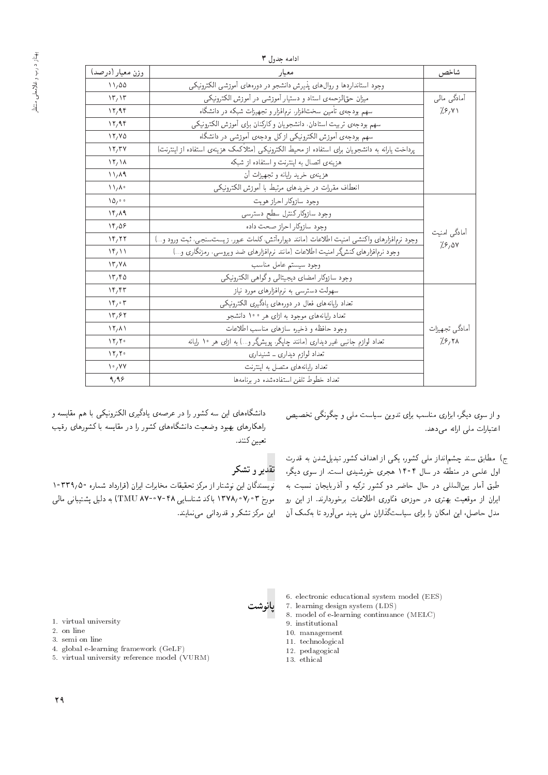|                         | ادامه جدول ۳                                                                                     |                                                 |
|-------------------------|--------------------------------------------------------------------------------------------------|-------------------------------------------------|
| شاخص                    | معيار                                                                                            | وزن معيار (درصد)                                |
|                         | وجود استانداردها و روال های پذیرش دانشجو در دورههای آموزشی الکترونیکی                            | $\frac{11}{400}$                                |
| آمادگی مالی             | میزان حقالزحمهی استاد و دستیار آموزشی در آموزش الکترونیکی                                        | $\mathcal{N}^r, \mathcal{N}^r$                  |
| 7.8, 41                 | سهم بودجه ی تأمین سخت افزار، نرمافزار و تجهیزات شبکه در دانشگاه                                  | 17,99                                           |
|                         | سهم بودجهى تربيت استادان، دانشجويان وكاركنان براى أموزش الكترونيكي                               | 17,99                                           |
|                         | سهم بودجه، آموزش الكترونيكي ازكل بودجه، آموزشي در دانشگاه                                        | 11/40                                           |
|                         | پرداخت یارانه به دانشجویان برای استفاده از محیط الکترونیکی (مثلاً کمک هزینهی استفاده از اینترنت) | $\mathcal{N}$                                   |
|                         | هزینهی اتصال به اینترنت و استفاده از شبکه                                                        | $\frac{1}{2}$                                   |
|                         | هزینه، خرید رایانه و تجهیزات آن                                                                  | $\mathcal{N}_{1}$ $\mathcal{N}_{2}$             |
|                         | انعطاف مقررات در خريدهاى مرتبط با أموزش الكترونيكي                                               | $\mathcal{N} \setminus \mathcal{N}$             |
|                         | وجود سازوكار احراز هويت                                                                          | $\Delta \Delta / 2$                             |
|                         | وجود سازوكار كنترل سطح دسترسى                                                                    | $\mathcal{N}$ / $\mathcal{N}$                   |
|                         | وجود سازوكار احراز صحت داده                                                                      | $\mathcal{N}$                                   |
| أمادگي امنيت<br>7.8,04  | وجود نرمافزارهای واکنشی امنیت اطلاعات (مانند دیوارهآتش، کلمات عبور، زیستسنجی، ثبت ورود و)        | $\mathcal{N}$                                   |
|                         | وجود نرم فزارهای کنشگر امنیت اطلاعات (مانند نرم فزارهای ضد ویروسی، رمزنگاری و…)                  | $\langle \mathbf{r}, \mathbf{r} \rangle$        |
|                         | وجود سيستم عامل مناسب                                                                            | $\Upsilon/\Upsilon$                             |
|                         | وجود سازوكار امضاى ديجيتالي وكواهي الكترونيكي                                                    | 17,90                                           |
|                         | سهولت دسترسی به نرم فزارهای مورد نیاز                                                            | $\mathcal{N}$                                   |
|                         | تعداد رایانههای فعال در دورههای یادگیری الکترونیکی                                               | $\mathcal{M}_1 \circ \mathcal{F}$               |
|                         | تعداد رایانههای موجود به ازای هر ۱۰۰ دانشجو                                                      | $\mathcal{N}^{\mu}$                             |
| آمادگي تجهيزات<br>7.877 | وجود حافظه و ذخيره سازهاى مناسب اطلاعات                                                          | $\Upsilon/\Lambda$                              |
|                         | تعداد لوازم جانبی غیر دیداری (مانند چاپگر، پویشگر و) به ازای هر ۱۰ رایانه                        | $\mathcal{N} \mathcal{N} \setminus \mathcal{N}$ |
|                         | تعداد لوازم دیداری ــ شنیداری                                                                    | $\mathcal{N} \mathcal{N} \setminus \mathcal{N}$ |
|                         | تعداد رایانههای متصل به اینترنت                                                                  | $\mathcal{N} \cdot \mathcal{N}$                 |
|                         | تعداد خطوط تلفن استفادهشده دربرنامهها                                                            | 9,99                                            |

و از سوی دیگر، ابزاری مناسب برای تدوین سیاست مل<sub>ی</sub> و چگونگی تخصیص |عتبارات مل<sub>ی</sub> ارائه می دهد.

مدل حاصل، این امکان را برای سیاست(داران مدی پدید می(ورد تا بهضک آن ) این مردر تسکر و قدردانی می،هایند.<br>. ج) مطابق سند چشم|نداز ملی کشور، یکی از اهداف کشور تبدیلشدن به قدرت<br>اول علمی در منطقه در سال ۱۴۰۴ هجری خورشیدی است. از سوی دیگر، اول عدمی در مطله در سال ۱۱۰۱ هجری حورسیدی است. از سوی دیگر،<br>ایس آیا مسئل السال است. طبق آمار بین المللی در حال حاصر دو نسور برنیه و ادربایجان سبب به<br>ایلمان سیاسی

دانشگاههای این سه کشور را در عرصهی یادگیری الکترونیکی با هم مقایسه و راهکارهای بهبود وضعیت دانشگاههای کشور را در مقایسه با کشورهای رقیب تعيين كنند.

# تقدير و تشكر

پانوشت

نویسندگان این نوشتار از مرکز تحقیقات مخابرات ایران (قرارداد شماره °F۳۹٫۵ ایران از موقعیت بهتری در حوزهی فنّاوری اطلاعات برخوردارند. از این رو – مورخ ۲۴۷۵٬۰۷٬۰۳ باکد شناسایی ۲۴۵-۷۰-۳۸۷ (TMU ۸۷-۲) به دلیل پشتیبانی مالی<br>سام سام سام ایران است استقلال سامت کامل سیست به سام کرد آمد سام کرده کرد تند

- 6. electronic educational system model (EES)
- 7. learning design system (LDS)
- 8. model of e-learning continuance (MELC)
- 9. institutional
- 10. management
- 11. technological
- 12. pedagogical
- 13. ethical
- 1. virtual university
- 2. on line
- 3. semi on line
- 4. global e-learning framework (GeLF)
- 5. virtual university reference model (VURM)